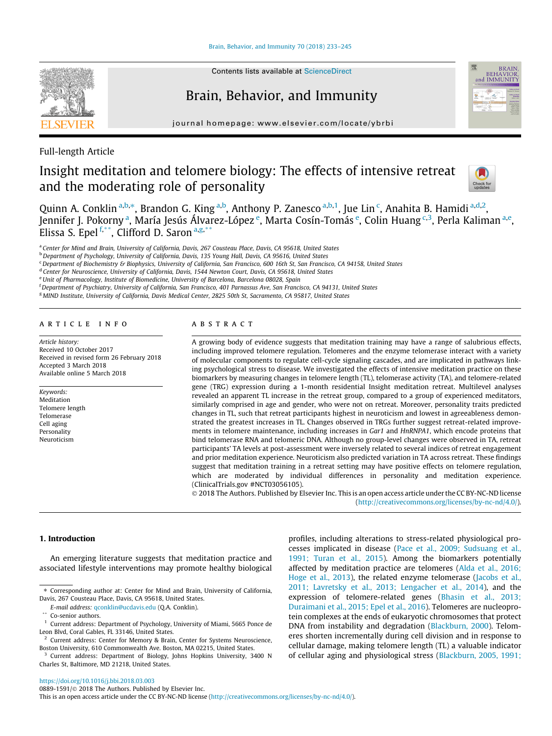[Brain, Behavior, and Immunity 70 \(2018\) 233–245](https://doi.org/10.1016/j.bbi.2018.03.003)



# Brain, Behavior, and Immunity

journal homepage: [www.elsevier.com/locate/ybrbi](http://www.elsevier.com/locate/ybrbi)



# Insight meditation and telomere biology: The effects of intensive retreat and the moderating role of personality



Quinn A. Conklin <sup>a,b,\*</sup>, Brandon G. King <sup>a,b</sup>, Anthony P. Zanesco <sup>a,b,1</sup>, Jue Lin<sup>c</sup>, Anahita B. Hamidi <sup>a,d,2</sup>, Jennifer J. Pokorny <sup>a</sup>, María Jesús Álvarez-López <sup>e</sup>, Marta Cosín-Tomás <sup>e</sup>, Colin Huang <sup>c,3</sup>, Perla Kaliman <sup>a,e</sup>, Elissa S. Epel<sup>f,\*\*</sup>, Clifford D. Saron<sup>a,g,\*\*</sup>

a Center for Mind and Brain, University of California, Davis, 267 Cousteau Place, Davis, CA 95618, United States

<sup>b</sup> Department of Psychology, University of California, Davis, 135 Young Hall, Davis, CA 95616, United States

<sup>c</sup> Department of Biochemistry & Biophysics, University of California, San Francisco, 600 16th St, San Francisco, CA 94158, United States

<sup>d</sup> Center for Neuroscience, University of California, Davis, 1544 Newton Court, Davis, CA 95618, United States

e Unit of Pharmacology, Institute of Biomedicine, University of Barcelona, Barcelona 08028, Spain

f Department of Psychiatry, University of California, San Francisco, 401 Parnassus Ave, San Francisco, CA 94131, United States

<sup>g</sup> MIND Institute, University of California, Davis Medical Center, 2825 50th St, Sacramento, CA 95817, United States

# article info

Article history: Received 10 October 2017 Received in revised form 26 February 2018 Accepted 3 March 2018 Available online 5 March 2018

Keywords: Meditation Telomere length Telomerase Cell aging Personality Neuroticism

# ABSTRACT

A growing body of evidence suggests that meditation training may have a range of salubrious effects, including improved telomere regulation. Telomeres and the enzyme telomerase interact with a variety of molecular components to regulate cell-cycle signaling cascades, and are implicated in pathways linking psychological stress to disease. We investigated the effects of intensive meditation practice on these biomarkers by measuring changes in telomere length (TL), telomerase activity (TA), and telomere-related gene (TRG) expression during a 1-month residential Insight meditation retreat. Multilevel analyses revealed an apparent TL increase in the retreat group, compared to a group of experienced meditators, similarly comprised in age and gender, who were not on retreat. Moreover, personality traits predicted changes in TL, such that retreat participants highest in neuroticism and lowest in agreeableness demonstrated the greatest increases in TL. Changes observed in TRGs further suggest retreat-related improvements in telomere maintenance, including increases in Gar1 and HnRNPA1, which encode proteins that bind telomerase RNA and telomeric DNA. Although no group-level changes were observed in TA, retreat participants' TA levels at post-assessment were inversely related to several indices of retreat engagement and prior meditation experience. Neuroticism also predicted variation in TA across retreat. These findings suggest that meditation training in a retreat setting may have positive effects on telomere regulation, which are moderated by individual differences in personality and meditation experience. (ClinicalTrials.gov #NCT03056105).

 2018 The Authors. Published by Elsevier Inc. This is an open access article under the CC BY-NC-ND license (<http://creativecommons.org/licenses/by-nc-nd/4.0/>).

1. Introduction

An emerging literature suggests that meditation practice and associated lifestyle interventions may promote healthy biological

E-mail address: [qconklin@ucdavis.edu](mailto:qconklin@ucdavis.edu) (Q.A. Conklin).

profiles, including alterations to stress-related physiological processes implicated in disease [\(Pace et al., 2009; Sudsuang et al.,](#page-12-0) [1991; Turan et al., 2015\)](#page-12-0). Among the biomarkers potentially affected by meditation practice are telomeres [\(Alda et al., 2016;](#page-10-0) [Hoge et al., 2013](#page-10-0)), the related enzyme telomerase ([Jacobs et al.,](#page-11-0) [2011; Lavretsky et al., 2013; Lengacher et al., 2014](#page-11-0)), and the expression of telomere-related genes [\(Bhasin et al., 2013;](#page-10-0) [Duraimani et al., 2015; Epel et al., 2016](#page-10-0)). Telomeres are nucleoprotein complexes at the ends of eukaryotic chromosomes that protect DNA from instability and degradation [\(Blackburn, 2000](#page-10-0)). Telomeres shorten incrementally during cell division and in response to cellular damage, making telomere length (TL) a valuable indicator of cellular aging and physiological stress ([Blackburn, 2005, 1991;](#page-10-0)

<sup>⇑</sup> Corresponding author at: Center for Mind and Brain, University of California, Davis, 267 Cousteau Place, Davis, CA 95618, United States.

Co-senior authors.

<sup>1</sup> Current address: Department of Psychology, University of Miami, 5665 Ponce de Leon Blvd, Coral Gables, FL 33146, United States.

<sup>2</sup> Current address: Center for Memory & Brain, Center for Systems Neuroscience, Boston University, 610 Commonwealth Ave. Boston, MA 02215, United States.

<sup>&</sup>lt;sup>3</sup> Current address: Department of Biology, Johns Hopkins University, 3400 N Charles St, Baltimore, MD 21218, United States.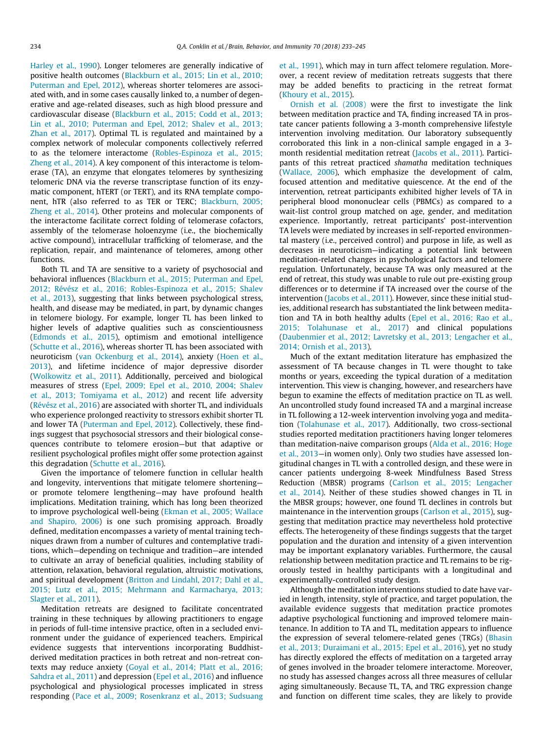[Harley et al., 1990\)](#page-10-0). Longer telomeres are generally indicative of positive health outcomes ([Blackburn et al., 2015; Lin et al., 2010;](#page-10-0) [Puterman and Epel, 2012\)](#page-10-0), whereas shorter telomeres are associated with, and in some cases causally linked to, a number of degenerative and age-related diseases, such as high blood pressure and cardiovascular disease [\(Blackburn et al., 2015; Codd et al., 2013;](#page-10-0) [Lin et al., 2010; Puterman and Epel, 2012; Shalev et al., 2013;](#page-10-0) [Zhan et al., 2017\)](#page-10-0). Optimal TL is regulated and maintained by a complex network of molecular components collectively referred to as the telomere interactome ([Robles-Espinoza et al., 2015;](#page-12-0) [Zheng et al., 2014\)](#page-12-0). A key component of this interactome is telomerase (TA), an enzyme that elongates telomeres by synthesizing telomeric DNA via the reverse transcriptase function of its enzymatic component, hTERT (or TERT), and its RNA template component, hTR (also referred to as TER or TERC; [Blackburn, 2005;](#page-10-0) [Zheng et al., 2014](#page-10-0)). Other proteins and molecular components of the interactome facilitate correct folding of telomerase cofactors, assembly of the telomerase holoenzyme (i.e., the biochemically active compound), intracellular trafficking of telomerase, and the replication, repair, and maintenance of telomeres, among other functions.

Both TL and TA are sensitive to a variety of psychosocial and behavioral influences ([Blackburn et al., 2015; Puterman and Epel,](#page-10-0) [2012; Révész et al., 2016; Robles-Espinoza et al., 2015; Shalev](#page-10-0) [et al., 2013\)](#page-10-0), suggesting that links between psychological stress, health, and disease may be mediated, in part, by dynamic changes in telomere biology. For example, longer TL has been linked to higher levels of adaptive qualities such as conscientiousness ([Edmonds et al., 2015](#page-11-0)), optimism and emotional intelligence ([Schutte et al., 2016\)](#page-12-0), whereas shorter TL has been associated with neuroticism [\(van Ockenburg et al., 2014](#page-12-0)), anxiety ([Hoen et al.,](#page-11-0) [2013\)](#page-11-0), and lifetime incidence of major depressive disorder ([Wolkowitz et al., 2011\)](#page-12-0). Additionally, perceived and biological measures of stress [\(Epel, 2009; Epel et al., 2010, 2004; Shalev](#page-11-0) [et al., 2013; Tomiyama et al., 2012](#page-11-0)) and recent life adversity ([Révész et al., 2016\)](#page-12-0) are associated with shorter TL, and individuals who experience prolonged reactivity to stressors exhibit shorter TL and lower TA ([Puterman and Epel, 2012](#page-12-0)). Collectively, these findings suggest that psychosocial stressors and their biological consequences contribute to telomere erosion—but that adaptive or resilient psychological profiles might offer some protection against this degradation [\(Schutte et al., 2016\)](#page-12-0).

Given the importance of telomere function in cellular health and longevity, interventions that mitigate telomere shortening or promote telomere lengthening—may have profound health implications. Meditation training, which has long been theorized to improve psychological well-being [\(Ekman et al., 2005; Wallace](#page-11-0) [and Shapiro, 2006\)](#page-11-0) is one such promising approach. Broadly defined, meditation encompasses a variety of mental training techniques drawn from a number of cultures and contemplative traditions, which—depending on technique and tradition—are intended to cultivate an array of beneficial qualities, including stability of attention, relaxation, behavioral regulation, altruistic motivations, and spiritual development [\(Britton and Lindahl, 2017; Dahl et al.,](#page-10-0) [2015; Lutz et al., 2015; Mehrmann and Karmacharya, 2013;](#page-10-0) [Slagter et al., 2011\)](#page-10-0).

Meditation retreats are designed to facilitate concentrated training in these techniques by allowing practitioners to engage in periods of full-time intensive practice, often in a secluded environment under the guidance of experienced teachers. Empirical evidence suggests that interventions incorporating Buddhistderived meditation practices in both retreat and non-retreat contexts may reduce anxiety [\(Goyal et al., 2014; Platt et al., 2016;](#page-11-0) [Sahdra et al., 2011\)](#page-11-0) and depression ([Epel et al., 2016\)](#page-11-0) and influence psychological and physiological processes implicated in stress responding [\(Pace et al., 2009; Rosenkranz et al., 2013; Sudsuang](#page-12-0) [et al., 1991](#page-12-0)), which may in turn affect telomere regulation. Moreover, a recent review of meditation retreats suggests that there may be added benefits to practicing in the retreat format ([Khoury et al., 2015](#page-11-0)).

[Ornish et al. \(2008\)](#page-12-0) were the first to investigate the link between meditation practice and TA, finding increased TA in prostate cancer patients following a 3-month comprehensive lifestyle intervention involving meditation. Our laboratory subsequently corroborated this link in a non-clinical sample engaged in a 3 month residential meditation retreat [\(Jacobs et al., 2011\)](#page-11-0). Participants of this retreat practiced shamatha meditation techniques ([Wallace, 2006](#page-12-0)), which emphasize the development of calm, focused attention and meditative quiescence. At the end of the intervention, retreat participants exhibited higher levels of TA in peripheral blood mononuclear cells (PBMCs) as compared to a wait-list control group matched on age, gender, and meditation experience. Importantly, retreat participants' post-intervention TA levels were mediated by increases in self-reported environmental mastery (i.e., perceived control) and purpose in life, as well as decreases in neuroticism—indicating a potential link between meditation-related changes in psychological factors and telomere regulation. Unfortunately, because TA was only measured at the end of retreat, this study was unable to rule out pre-existing group differences or to determine if TA increased over the course of the intervention ([Jacobs et al., 2011](#page-11-0)). However, since these initial studies, additional research has substantiated the link between meditation and TA in both healthy adults [\(Epel et al., 2016; Rao et al.,](#page-11-0) [2015; Tolahunase et al., 2017](#page-11-0)) and clinical populations ([Daubenmier et al., 2012; Lavretsky et al., 2013; Lengacher et al.,](#page-11-0) [2014; Ornish et al., 2013](#page-11-0)).

Much of the extant meditation literature has emphasized the assessment of TA because changes in TL were thought to take months or years, exceeding the typical duration of a meditation intervention. This view is changing, however, and researchers have begun to examine the effects of meditation practice on TL as well. An uncontrolled study found increased TA and a marginal increase in TL following a 12-week intervention involving yoga and meditation [\(Tolahunase et al., 2017](#page-12-0)). Additionally, two cross-sectional studies reported meditation practitioners having longer telomeres than meditation-naive comparison groups ([Alda et al., 2016; Hoge](#page-10-0) [et al., 2013—](#page-10-0)in women only). Only two studies have assessed longitudinal changes in TL with a controlled design, and these were in cancer patients undergoing 8-week Mindfulness Based Stress Reduction (MBSR) programs ([Carlson et al., 2015; Lengacher](#page-11-0) [et al., 2014](#page-11-0)). Neither of these studies showed changes in TL in the MBSR groups; however, one found TL declines in controls but maintenance in the intervention groups [\(Carlson et al., 2015](#page-11-0)), suggesting that meditation practice may nevertheless hold protective effects. The heterogeneity of these findings suggests that the target population and the duration and intensity of a given intervention may be important explanatory variables. Furthermore, the causal relationship between meditation practice and TL remains to be rigorously tested in healthy participants with a longitudinal and experimentally-controlled study design.

Although the meditation interventions studied to date have varied in length, intensity, style of practice, and target population, the available evidence suggests that meditation practice promotes adaptive psychological functioning and improved telomere maintenance. In addition to TA and TL, meditation appears to influence the expression of several telomere-related genes (TRGs) ([Bhasin](#page-10-0) [et al., 2013; Duraimani et al., 2015; Epel et al., 2016](#page-10-0)), yet no study has directly explored the effects of meditation on a targeted array of genes involved in the broader telomere interactome. Moreover, no study has assessed changes across all three measures of cellular aging simultaneously. Because TL, TA, and TRG expression change and function on different time scales, they are likely to provide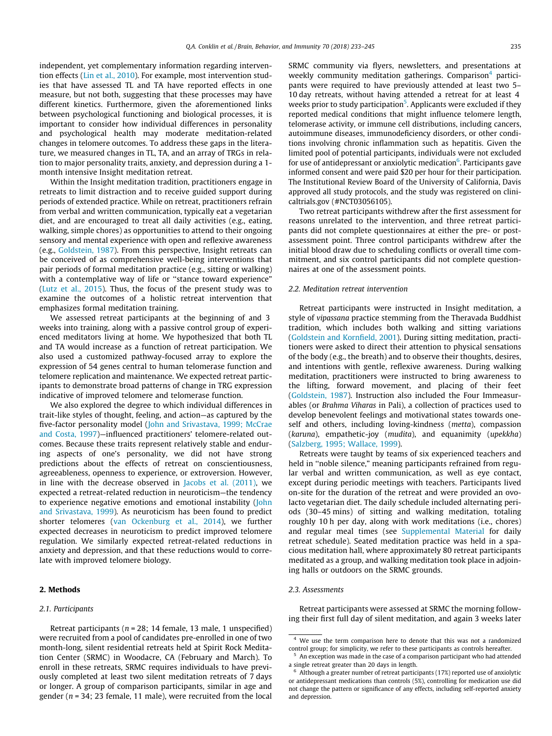independent, yet complementary information regarding intervention effects ([Lin et al., 2010](#page-11-0)). For example, most intervention studies that have assessed TL and TA have reported effects in one measure, but not both, suggesting that these processes may have different kinetics. Furthermore, given the aforementioned links between psychological functioning and biological processes, it is important to consider how individual differences in personality and psychological health may moderate meditation-related changes in telomere outcomes. To address these gaps in the literature, we measured changes in TL, TA, and an array of TRGs in relation to major personality traits, anxiety, and depression during a 1 month intensive Insight meditation retreat.

Within the Insight meditation tradition, practitioners engage in retreats to limit distraction and to receive guided support during periods of extended practice. While on retreat, practitioners refrain from verbal and written communication, typically eat a vegetarian diet, and are encouraged to treat all daily activities (e.g., eating, walking, simple chores) as opportunities to attend to their ongoing sensory and mental experience with open and reflexive awareness (e.g., [Goldstein, 1987](#page-11-0)). From this perspective, Insight retreats can be conceived of as comprehensive well-being interventions that pair periods of formal meditation practice (e.g., sitting or walking) with a contemplative way of life or "stance toward experience" ([Lutz et al., 2015](#page-11-0)). Thus, the focus of the present study was to examine the outcomes of a holistic retreat intervention that emphasizes formal meditation training.

We assessed retreat participants at the beginning of and 3 weeks into training, along with a passive control group of experienced meditators living at home. We hypothesized that both TL and TA would increase as a function of retreat participation. We also used a customized pathway-focused array to explore the expression of 54 genes central to human telomerase function and telomere replication and maintenance. We expected retreat participants to demonstrate broad patterns of change in TRG expression indicative of improved telomere and telomerase function.

We also explored the degree to which individual differences in trait-like styles of thought, feeling, and action—as captured by the five-factor personality model ([John and Srivastava, 1999; McCrae](#page-11-0) [and Costa, 1997\)](#page-11-0)—influenced practitioners' telomere-related outcomes. Because these traits represent relatively stable and enduring aspects of one's personality, we did not have strong predictions about the effects of retreat on conscientiousness, agreeableness, openness to experience, or extroversion. However, in line with the decrease observed in [Jacobs et al. \(2011\)](#page-11-0), we expected a retreat-related reduction in neuroticism—the tendency to experience negative emotions and emotional instability ([John](#page-11-0) [and Srivastava, 1999\)](#page-11-0). As neuroticism has been found to predict shorter telomeres ([van Ockenburg et al., 2014\)](#page-12-0), we further expected decreases in neuroticism to predict improved telomere regulation. We similarly expected retreat-related reductions in anxiety and depression, and that these reductions would to correlate with improved telomere biology.

### 2. Methods

### 2.1. Participants

Retreat participants ( $n = 28$ ; 14 female, 13 male, 1 unspecified) were recruited from a pool of candidates pre-enrolled in one of two month-long, silent residential retreats held at Spirit Rock Meditation Center (SRMC) in Woodacre, CA (February and March). To enroll in these retreats, SRMC requires individuals to have previously completed at least two silent meditation retreats of 7 days or longer. A group of comparison participants, similar in age and gender ( $n = 34$ ; 23 female, 11 male), were recruited from the local SRMC community via flyers, newsletters, and presentations at weekly community meditation gatherings. Comparison<sup>4</sup> participants were required to have previously attended at least two 5– 10 day retreats, without having attended a retreat for at least 4 weeks prior to study participation<sup>5</sup>. Applicants were excluded if they reported medical conditions that might influence telomere length, telomerase activity, or immune cell distributions, including cancers, autoimmune diseases, immunodeficiency disorders, or other conditions involving chronic inflammation such as hepatitis. Given the limited pool of potential participants, individuals were not excluded for use of antidepressant or anxiolytic medication<sup>6</sup>. Participants gave informed consent and were paid \$20 per hour for their participation. The Institutional Review Board of the University of California, Davis approved all study protocols, and the study was registered on clinicaltrials.gov (#NCT03056105).

Two retreat participants withdrew after the first assessment for reasons unrelated to the intervention, and three retreat participants did not complete questionnaires at either the pre- or postassessment point. Three control participants withdrew after the initial blood draw due to scheduling conflicts or overall time commitment, and six control participants did not complete questionnaires at one of the assessment points.

## 2.2. Meditation retreat intervention

Retreat participants were instructed in Insight meditation, a style of vipassana practice stemming from the Theravada Buddhist tradition, which includes both walking and sitting variations ([Goldstein and Kornfield, 2001](#page-11-0)). During sitting meditation, practitioners were asked to direct their attention to physical sensations of the body (e.g., the breath) and to observe their thoughts, desires, and intentions with gentle, reflexive awareness. During walking meditation, practitioners were instructed to bring awareness to the lifting, forward movement, and placing of their feet ([Goldstein, 1987](#page-11-0)). Instruction also included the Four Immeasurables (or Brahma Viharas in Pali), a collection of practices used to develop benevolent feelings and motivational states towards oneself and others, including loving-kindness (metta), compassion (karuna), empathetic-joy (mudita), and equanimity (upekkha) ([Salzberg, 1995; Wallace, 1999](#page-12-0)).

Retreats were taught by teams of six experienced teachers and held in ''noble silence," meaning participants refrained from regular verbal and written communication, as well as eye contact, except during periodic meetings with teachers. Participants lived on-site for the duration of the retreat and were provided an ovolacto vegetarian diet. The daily schedule included alternating periods (30–45 mins) of sitting and walking meditation, totaling roughly 10 h per day, along with work meditations (i.e., chores) and regular meal times (see Supplemental Material for daily retreat schedule). Seated meditation practice was held in a spacious meditation hall, where approximately 80 retreat participants meditated as a group, and walking meditation took place in adjoining halls or outdoors on the SRMC grounds.

### 2.3. Assessments

Retreat participants were assessed at SRMC the morning following their first full day of silent meditation, and again 3 weeks later

<sup>&</sup>lt;sup>4</sup> We use the term comparison here to denote that this was not a randomized control group; for simplicity, we refer to these participants as controls hereafter.

 $5$  An exception was made in the case of a comparison participant who had attended a single retreat greater than 20 days in length.

 $6$  Although a greater number of retreat participants (17%) reported use of anxiolytic or antidepressant medications than controls (5%), controlling for medication use did not change the pattern or significance of any effects, including self-reported anxiety and depression.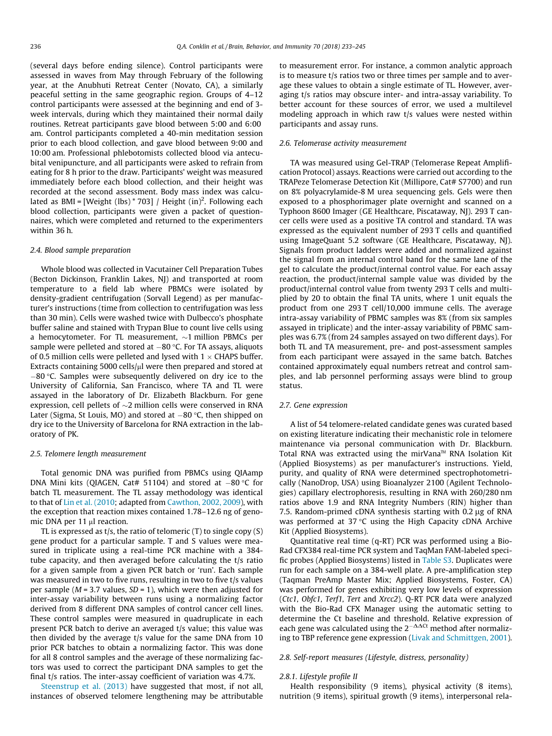(several days before ending silence). Control participants were assessed in waves from May through February of the following year, at the Anubhuti Retreat Center (Novato, CA), a similarly peaceful setting in the same geographic region. Groups of 4–12 control participants were assessed at the beginning and end of 3 week intervals, during which they maintained their normal daily routines. Retreat participants gave blood between 5:00 and 6:00 am. Control participants completed a 40-min meditation session prior to each blood collection, and gave blood between 9:00 and 10:00 am. Professional phlebotomists collected blood via antecubital venipuncture, and all participants were asked to refrain from eating for 8 h prior to the draw. Participants' weight was measured immediately before each blood collection, and their height was recorded at the second assessment. Body mass index was calculated as BMI = [Weight (lbs)  $*$  703] / Height (in)<sup>2</sup>. Following each blood collection, participants were given a packet of questionnaires, which were completed and returned to the experimenters within 36 h.

# 2.4. Blood sample preparation

Whole blood was collected in Vacutainer Cell Preparation Tubes (Becton Dickinson, Franklin Lakes, NJ) and transported at room temperature to a field lab where PBMCs were isolated by density-gradient centrifugation (Sorvall Legend) as per manufacturer's instructions (time from collection to centrifugation was less than 30 min). Cells were washed twice with Dulbecco's phosphate buffer saline and stained with Trypan Blue to count live cells using a hemocytometer. For TL measurement,  $\sim$ 1 million PBMCs per sample were pelleted and stored at  $-80$  °C. For TA assays, aliquots of 0.5 million cells were pelleted and lysed with  $1 \times$  CHAPS buffer. Extracts containing 5000 cells/ $\mu$ l were then prepared and stored at  $-80$  °C. Samples were subsequently delivered on dry ice to the University of California, San Francisco, where TA and TL were assayed in the laboratory of Dr. Elizabeth Blackburn. For gene expression, cell pellets of  $\sim$ 2 million cells were conserved in RNA Later (Sigma, St Louis, MO) and stored at  $-80$  °C, then shipped on dry ice to the University of Barcelona for RNA extraction in the laboratory of PK.

### 2.5. Telomere length measurement

Total genomic DNA was purified from PBMCs using QIAamp DNA Mini kits (QIAGEN, Cat# 51104) and stored at  $-80$  °C for batch TL measurement. The TL assay methodology was identical to that of [Lin et al. \(2010;](#page-11-0) adapted from [Cawthon, 2002, 2009\)](#page-11-0), with the exception that reaction mixes contained 1.78–12.6 ng of genomic DNA per  $11 \mu l$  reaction.

TL is expressed as  $t/s$ , the ratio of telomeric (T) to single copy (S) gene product for a particular sample. T and S values were measured in triplicate using a real-time PCR machine with a 384 tube capacity, and then averaged before calculating the t/s ratio for a given sample from a given PCR batch or 'run'. Each sample was measured in two to five runs, resulting in two to five t/s values per sample ( $M = 3.7$  values,  $SD = 1$ ), which were then adjusted for inter-assay variability between runs using a normalizing factor derived from 8 different DNA samples of control cancer cell lines. These control samples were measured in quadruplicate in each present PCR batch to derive an averaged t/s value; this value was then divided by the average t/s value for the same DNA from 10 prior PCR batches to obtain a normalizing factor. This was done for all 8 control samples and the average of these normalizing factors was used to correct the participant DNA samples to get the final t/s ratios. The inter-assay coefficient of variation was 4.7%.

[Steenstrup et al. \(2013\)](#page-12-0) have suggested that most, if not all, instances of observed telomere lengthening may be attributable

to measurement error. For instance, a common analytic approach is to measure t/s ratios two or three times per sample and to average these values to obtain a single estimate of TL. However, averaging t/s ratios may obscure inter- and intra-assay variability. To better account for these sources of error, we used a multilevel modeling approach in which raw t/s values were nested within participants and assay runs.

### 2.6. Telomerase activity measurement

TA was measured using Gel-TRAP (Telomerase Repeat Amplification Protocol) assays. Reactions were carried out according to the TRAPeze Telomerase Detection Kit (Millipore, Cat# S7700) and run on 8% polyacrylamide-8 M urea sequencing gels. Gels were then exposed to a phosphorimager plate overnight and scanned on a Typhoon 8600 Imager (GE Healthcare, Piscataway, NJ). 293 T cancer cells were used as a positive TA control and standard. TA was expressed as the equivalent number of 293 T cells and quantified using ImageQuant 5.2 software (GE Healthcare, Piscataway, NJ). Signals from product ladders were added and normalized against the signal from an internal control band for the same lane of the gel to calculate the product/internal control value. For each assay reaction, the product/internal sample value was divided by the product/internal control value from twenty 293 T cells and multiplied by 20 to obtain the final TA units, where 1 unit equals the product from one 293 T cell/10,000 immune cells. The average intra-assay variability of PBMC samples was 8% (from six samples assayed in triplicate) and the inter-assay variability of PBMC samples was 6.7% (from 24 samples assayed on two different days). For both TL and TA measurement, pre- and post-assessment samples from each participant were assayed in the same batch. Batches contained approximately equal numbers retreat and control samples, and lab personnel performing assays were blind to group status.

# 2.7. Gene expression

A list of 54 telomere-related candidate genes was curated based on existing literature indicating their mechanistic role in telomere maintenance via personal communication with Dr. Blackburn. Total RNA was extracted using the mirVana<sup> $M$ </sup> RNA Isolation Kit (Applied Biosystems) as per manufacturer's instructions. Yield, purity, and quality of RNA were determined spectrophotometrically (NanoDrop, USA) using Bioanalyzer 2100 (Agilent Technologies) capillary electrophoresis, resulting in RNA with 260/280 nm ratios above 1.9 and RNA Integrity Numbers (RIN) higher than 7.5. Random-primed cDNA synthesis starting with 0.2 µg of RNA was performed at 37 $\degree$ C using the High Capacity cDNA Archive Kit (Applied Biosystems).

Quantitative real time (q-RT) PCR was performed using a Bio-Rad CFX384 real-time PCR system and TaqMan FAM-labeled specific probes (Applied Biosystems) listed in Table S3. Duplicates were run for each sample on a 384-well plate. A pre-amplification step (Taqman PreAmp Master Mix; Applied Biosystems, Foster, CA) was performed for genes exhibiting very low levels of expression (Ctc1, Obfc1, Terf1, Tert and Xrcc2). Q-RT PCR data were analyzed with the Bio-Rad CFX Manager using the automatic setting to determine the Ct baseline and threshold. Relative expression of each gene was calculated using the  $2^{-\Delta\Delta$ Ct method after normalizing to TBP reference gene expression [\(Livak and Schmittgen, 2001\)](#page-11-0).

## 2.8. Self-report measures (Lifestyle, distress, personality)

### 2.8.1. Lifestyle profile II

Health responsibility (9 items), physical activity (8 items), nutrition (9 items), spiritual growth (9 items), interpersonal rela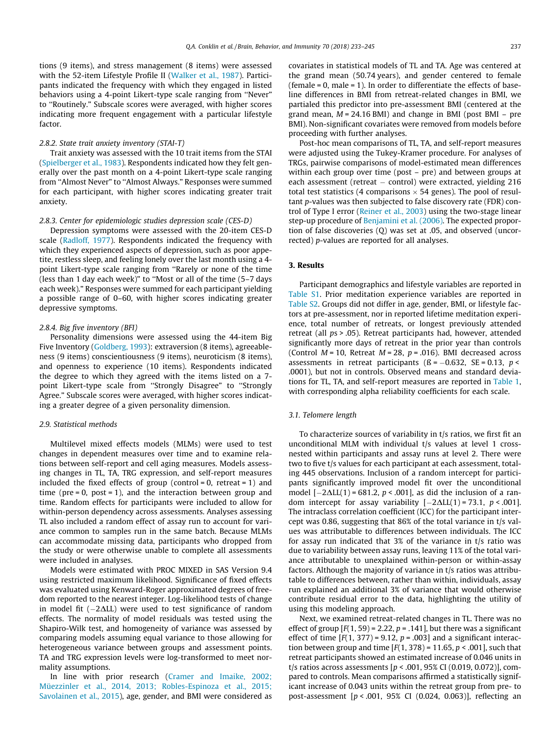tions (9 items), and stress management (8 items) were assessed with the 52-item Lifestyle Profile II ([Walker et al., 1987](#page-12-0)). Participants indicated the frequency with which they engaged in listed behaviors using a 4-point Likert-type scale ranging from ''Never" to ''Routinely." Subscale scores were averaged, with higher scores indicating more frequent engagement with a particular lifestyle factor.

### 2.8.2. State trait anxiety inventory (STAI-T)

Trait anxiety was assessed with the 10 trait items from the STAI ([Spielberger et al., 1983](#page-12-0)). Respondents indicated how they felt generally over the past month on a 4-point Likert-type scale ranging from ''Almost Never" to ''Almost Always." Responses were summed for each participant, with higher scores indicating greater trait anxiety.

## 2.8.3. Center for epidemiologic studies depression scale (CES-D)

Depression symptoms were assessed with the 20-item CES-D scale ([Radloff, 1977](#page-12-0)). Respondents indicated the frequency with which they experienced aspects of depression, such as poor appetite, restless sleep, and feeling lonely over the last month using a 4 point Likert-type scale ranging from ''Rarely or none of the time (less than 1 day each week)" to ''Most or all of the time (5–7 days each week)." Responses were summed for each participant yielding a possible range of 0–60, with higher scores indicating greater depressive symptoms.

# 2.8.4. Big five inventory (BFI)

Personality dimensions were assessed using the 44-item Big Five Inventory ([Goldberg, 1993](#page-11-0)): extraversion (8 items), agreeableness (9 items) conscientiousness (9 items), neuroticism (8 items), and openness to experience (10 items). Respondents indicated the degree to which they agreed with the items listed on a 7 point Likert-type scale from ''Strongly Disagree" to ''Strongly Agree." Subscale scores were averaged, with higher scores indicating a greater degree of a given personality dimension.

### 2.9. Statistical methods

Multilevel mixed effects models (MLMs) were used to test changes in dependent measures over time and to examine relations between self-report and cell aging measures. Models assessing changes in TL, TA, TRG expression, and self-report measures included the fixed effects of group (control =  $0$ , retreat =  $1$ ) and time ( $pre = 0$ ,  $post = 1$ ), and the interaction between group and time. Random effects for participants were included to allow for within-person dependency across assessments. Analyses assessing TL also included a random effect of assay run to account for variance common to samples run in the same batch. Because MLMs can accommodate missing data, participants who dropped from the study or were otherwise unable to complete all assessments were included in analyses.

Models were estimated with PROC MIXED in SAS Version 9.4 using restricted maximum likelihood. Significance of fixed effects was evaluated using Kenward-Roger approximated degrees of freedom reported to the nearest integer. Log-likelihood tests of change in model fit  $(-2\Delta L)$  were used to test significance of random effects. The normality of model residuals was tested using the Shapiro-Wilk test, and homogeneity of variance was assessed by comparing models assuming equal variance to those allowing for heterogeneous variance between groups and assessment points. TA and TRG expression levels were log-transformed to meet normality assumptions.

In line with prior research ([Cramer and Imaike, 2002;](#page-11-0) [Müezzinler et al., 2014, 2013; Robles-Espinoza et al., 2015;](#page-11-0) [Savolainen et al., 2015\)](#page-11-0), age, gender, and BMI were considered as covariates in statistical models of TL and TA. Age was centered at the grand mean (50.74 years), and gender centered to female (female  $= 0$ , male  $= 1$ ). In order to differentiate the effects of baseline differences in BMI from retreat-related changes in BMI, we partialed this predictor into pre-assessment BMI (centered at the grand mean,  $M = 24.16$  BMI) and change in BMI (post BMI – pre BMI). Non-significant covariates were removed from models before proceeding with further analyses.

Post-hoc mean comparisons of TL, TA, and self-report measures were adjusted using the Tukey-Kramer procedure. For analyses of TRGs, pairwise comparisons of model-estimated mean differences within each group over time (post – pre) and between groups at each assessment (retreat  $-$  control) were extracted, yielding 216 total test statistics (4 comparisons  $\times$  54 genes). The pool of resultant p-values was then subjected to false discovery rate (FDR) control of Type I error [\(Reiner et al., 2003](#page-12-0)) using the two-stage linear step-up procedure of [Benjamini et al. \(2006\).](#page-10-0) The expected proportion of false discoveries (Q) was set at .05, and observed (uncorrected) p-values are reported for all analyses.

# 3. Results

Participant demographics and lifestyle variables are reported in Table S1. Prior meditation experience variables are reported in Table S2. Groups did not differ in age, gender, BMI, or lifestyle factors at pre-assessment, nor in reported lifetime meditation experience, total number of retreats, or longest previously attended retreat (all ps > .05). Retreat participants had, however, attended significantly more days of retreat in the prior year than controls (Control  $M = 10$ , Retreat  $M = 28$ ,  $p = .016$ ). BMI decreased across assessments in retreat participants ( $\beta = -0.632$ ,  $SE = 0.13$ ,  $p <$ .0001), but not in controls. Observed means and standard deviations for TL, TA, and self-report measures are reported in [Table 1,](#page-5-0) with corresponding alpha reliability coefficients for each scale.

# 3.1. Telomere length

To characterize sources of variability in t/s ratios, we first fit an unconditional MLM with individual t/s values at level 1 crossnested within participants and assay runs at level 2. There were two to five t/s values for each participant at each assessment, totaling 445 observations. Inclusion of a random intercept for participants significantly improved model fit over the unconditional model  $[-2\Delta LL(1) = 681.2, p < .001]$ , as did the inclusion of a random intercept for assay variability  $[-2\Delta LL(1) = 73.1, p < .001]$ . The intraclass correlation coefficient (ICC) for the participant intercept was 0.86, suggesting that 86% of the total variance in t/s values was attributable to differences between individuals. The ICC for assay run indicated that 3% of the variance in t/s ratio was due to variability between assay runs, leaving 11% of the total variance attributable to unexplained within-person or within-assay factors. Although the majority of variance in t/s ratios was attributable to differences between, rather than within, individuals, assay run explained an additional 3% of variance that would otherwise contribute residual error to the data, highlighting the utility of using this modeling approach.

Next, we examined retreat-related changes in TL. There was no effect of group  $[F(1, 59) = 2.22, p = .141]$ , but there was a significant effect of time  $[F(1, 377) = 9.12, p = .003]$  and a significant interaction between group and time  $[F(1, 378) = 11.65, p < .001]$ , such that retreat participants showed an estimated increase of 0.046 units in t/s ratios across assessments  $[p < .001, 95\%$  CI (0.019, 0.072)], compared to controls. Mean comparisons affirmed a statistically significant increase of 0.043 units within the retreat group from pre- to post-assessment  $[p < .001, 95%$  CI (0.024, 0.063)], reflecting an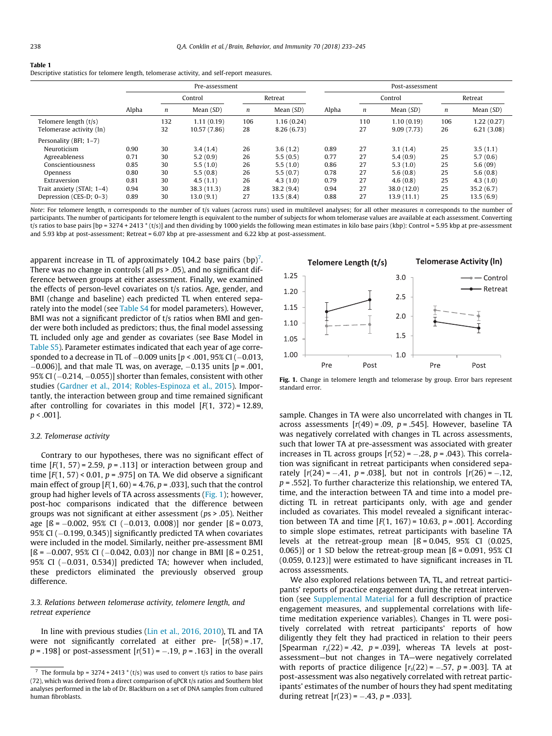#### <span id="page-5-0"></span>Table 1

|  |  |  | Descriptive statistics for telomere length, telomerase activity, and self-report measures. |
|--|--|--|--------------------------------------------------------------------------------------------|
|  |  |  |                                                                                            |
|  |  |  |                                                                                            |

|                           | Pre-assessment |     |              |                  | Post-assessment |       |                  |             |     |             |
|---------------------------|----------------|-----|--------------|------------------|-----------------|-------|------------------|-------------|-----|-------------|
|                           |                |     | Control      |                  | Retreat         |       |                  | Control     |     | Retreat     |
|                           | Alpha          | n   | Mean $(SD)$  | $\boldsymbol{n}$ | Mean $(SD)$     | Alpha | $\boldsymbol{n}$ | Mean $(SD)$ | n   | Mean $(SD)$ |
| Telomere length $(t/s)$   |                | 132 | 1.11(0.19)   | 106              | 1.16(0.24)      |       | 110              | 1.10(0.19)  | 106 | 1.22(0.27)  |
| Telomerase activity (ln)  |                | 32  | 10.57 (7.86) | 28               | 8.26(6.73)      |       | 27               | 9.09(7.73)  | 26  | 6.21(3.08)  |
| Personality (BFI; 1-7)    |                |     |              |                  |                 |       |                  |             |     |             |
| Neuroticism               | 0.90           | 30  | 3.4(1.4)     | 26               | 3.6(1.2)        | 0.89  | 27               | 3.1(1.4)    | 25  | 3.5(1.1)    |
| Agreeableness             | 0.71           | 30  | 5.2(0.9)     | 26               | 5.5(0.5)        | 0.77  | 27               | 5.4(0.9)    | 25  | 5.7(0.6)    |
| Conscientiousness         | 0.85           | 30  | 5.5(1.0)     | 26               | 5.5(1.0)        | 0.86  | 27               | 5.3(1.0)    | 25  | 5.6(09)     |
| <b>Openness</b>           | 0.80           | 30  | 5.5(0.8)     | 26               | 5.5(0.7)        | 0.78  | 27               | 5.6(0.8)    | 25  | 5.6(0.8)    |
| Extraversion              | 0.81           | 30  | 4.5(1.1)     | 26               | 4.3(1.0)        | 0.79  | 27               | 4.6(0.8)    | 25  | 4.3(1.0)    |
| Trait anxiety (STAI; 1-4) | 0.94           | 30  | 38.3 (11.3)  | 28               | 38.2(9.4)       | 0.94  | 27               | 38.0 (12.0) | 25  | 35.2(6.7)   |
| Depression (CES-D; 0-3)   | 0.89           | 30  | 13.0(9.1)    | 27               | 13.5(8.4)       | 0.88  | 27               | 13.9(11.1)  | 25  | 13.5(6.9)   |

Note: For telomere length, n corresponds to the number of t/s values (across runs) used in multilevel analyses; for all other measures n corresponds to the number of participants. The number of participants for telomere length is equivalent to the number of subjects for whom telomerase values are available at each assessment. Converting t/s ratios to base pairs [bp = 3274 + 2413  $*(t/s)$ ] and then dividing by 1000 yields the following mean estimates in kilo base pairs (kbp): Control = 5.95 kbp at pre-assessment and 5.93 kbp at post-assessment; Retreat = 6.07 kbp at pre-assessment and 6.22 kbp at post-assessment.

apparent increase in TL of approximately 104.2 base pairs  $(bp)^7$ . There was no change in controls (all  $ps > .05$ ), and no significant difference between groups at either assessment. Finally, we examined the effects of person-level covariates on t/s ratios. Age, gender, and BMI (change and baseline) each predicted TL when entered separately into the model (see Table S4 for model parameters). However, BMI was not a significant predictor of t/s ratios when BMI and gender were both included as predictors; thus, the final model assessing TL included only age and gender as covariates (see Base Model in Table S5). Parameter estimates indicated that each year of age corresponded to a decrease in TL of  $-0.009$  units  $[p < .001, 95\%$  CI ( $-0.013$ ,  $-0.006$ ], and that male TL was, on average,  $-0.135$  units [p = .001, 95% CI  $(-0.214, -0.055)$ ] shorter than females, consistent with other studies ([Gardner et al., 2014; Robles-Espinoza et al., 2015](#page-11-0)). Importantly, the interaction between group and time remained significant after controlling for covariates in this model  $[F(1, 372) = 12.89$ ,  $p < .001$ ].

#### 3.2. Telomerase activity

Contrary to our hypotheses, there was no significant effect of time  $[F(1, 57) = 2.59, p = .113]$  or interaction between group and time  $[F(1, 57)$  < 0.01, p = .975] on TA. We did observe a significant main effect of group  $[F(1, 60) = 4.76, p = .033]$ , such that the control group had higher levels of TA across assessments (Fig. 1); however, post-hoc comparisons indicated that the difference between groups was not significant at either assessment (ps > .05). Neither age  $[S = -0.002, 95\% \text{ CI } (-0.013, 0.008)]$  nor gender  $[S = 0.073,$ 95% CI  $(-0.199, 0.345)$ ] significantly predicted TA when covariates were included in the model. Similarly, neither pre-assessment BMI  $[S = -0.007, 95\% \text{ CI } (-0.042, 0.03)]$  nor change in BMI  $[S = 0.251,$ 95% CI  $(-0.031, 0.534)$ ] predicted TA; however when included, these predictors eliminated the previously observed group difference.

# 3.3. Relations between telomerase activity, telomere length, and retreat experience

In line with previous studies ([Lin et al., 2016, 2010](#page-11-0)), TL and TA were not significantly correlated at either pre-  $[r(58) = .17,$  $p = .198$ ] or post-assessment  $[r(51) = -.19, p = .163]$  in the overall



Fig. 1. Change in telomere length and telomerase by group. Error bars represent standard error.

sample. Changes in TA were also uncorrelated with changes in TL across assessments  $[r(49) = .09, p = .545]$ . However, baseline TA was negatively correlated with changes in TL across assessments, such that lower TA at pre-assessment was associated with greater increases in TL across groups  $[r(52) = -.28, p = .043)$ . This correlation was significant in retreat participants when considered separately  $[r(24) = -.41, p = .038]$ , but not in controls  $[r(26) = -.12,$  $p = .552$ ]. To further characterize this relationship, we entered TA, time, and the interaction between TA and time into a model predicting TL in retreat participants only, with age and gender included as covariates. This model revealed a significant interaction between TA and time  $[F(1, 167) = 10.63, p = .001]$ . According to simple slope estimates, retreat participants with baseline TA levels at the retreat-group mean  $\lceil \beta = 0.045, 95\% \text{ CI}$  (0.025, 0.065)] or 1 SD below the retreat-group mean  $\lceil \beta = 0.091, 95\% \text{ CI}$ (0.059, 0.123)] were estimated to have significant increases in TL across assessments.

We also explored relations between TA, TL, and retreat participants' reports of practice engagement during the retreat intervention (see Supplemental Material for a full description of practice engagement measures, and supplemental correlations with lifetime meditation experience variables). Changes in TL were positively correlated with retreat participants' reports of how diligently they felt they had practiced in relation to their peers [Spearman  $r_s(22) = .42$ ,  $p = .039$ ], whereas TA levels at postassessment—but not changes in TA—were negatively correlated with reports of practice diligence  $[r_s(22) = -.57, p = .003]$ . TA at post-assessment was also negatively correlated with retreat participants' estimates of the number of hours they had spent meditating during retreat  $[r(23) = -.43, p = .033]$ .

<sup>&</sup>lt;sup>7</sup> The formula bp = 3274 + 2413  $*(t/s)$  was used to convert t/s ratios to base pairs (72), which was derived from a direct comparison of qPCR t/s ratios and Southern blot analyses performed in the lab of Dr. Blackburn on a set of DNA samples from cultured human fibroblasts.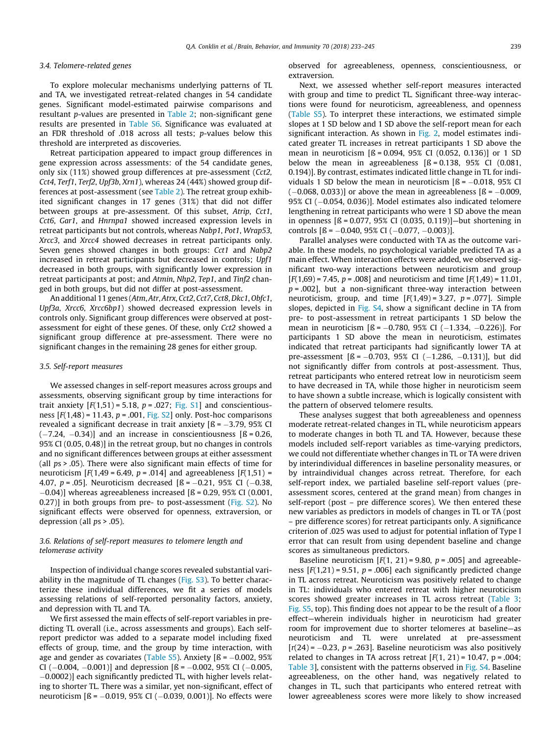#### 3.4. Telomere-related genes

To explore molecular mechanisms underlying patterns of TL and TA, we investigated retreat-related changes in 54 candidate genes. Significant model-estimated pairwise comparisons and resultant p-values are presented in [Table 2](#page-7-0); non-significant gene results are presented in Table S6. Significance was evaluated at an FDR threshold of .018 across all tests; p-values below this threshold are interpreted as discoveries.

Retreat participation appeared to impact group differences in gene expression across assessments: of the 54 candidate genes, only six (11%) showed group differences at pre-assessment (Cct2, Cct4, Terf1, Terf2, Upf3b, Xrn1), whereas 24 (44%) showed group differences at post-assessment (see [Table 2\)](#page-7-0). The retreat group exhibited significant changes in 17 genes (31%) that did not differ between groups at pre-assessment. Of this subset, Atrip, Cct1, Cct6, Gar1, and Hnrnpa1 showed increased expression levels in retreat participants but not controls, whereas Nabp1, Pot1, Wrap53, Xrcc3, and Xrcc4 showed decreases in retreat participants only. Seven genes showed changes in both groups: Cct1 and Nabp2 increased in retreat participants but decreased in controls; Upf1 decreased in both groups, with significantly lower expression in retreat participants at post; and Atmin, Nhp2, Tep1, and Tinf2 changed in both groups, but did not differ at post-assessment.

An additional 11 genes (Atm, Atr, Atrx, Cct2, Cct7, Cct8, Dkc1, Obfc1, Upf3a, Xrcc6, Xrcc6bp1) showed decreased expression levels in controls only. Significant group differences were observed at postassessment for eight of these genes. Of these, only Cct2 showed a significant group difference at pre-assessment. There were no significant changes in the remaining 28 genes for either group.

#### 3.5. Self-report measures

We assessed changes in self-report measures across groups and assessments, observing significant group by time interactions for trait anxiety  $[F(1,51) = 5.18, p = .027; Fig. S1]$  and conscientiousness  $[F(1,48) = 11.43, p = .001, Fig. S2]$  only. Post-hoc comparisons revealed a significant decrease in trait anxiety  $\sqrt{B} = -3.79$ , 95% CI  $(-7.24, -0.34)$ ] and an increase in conscientiousness  $\lceil \beta \rceil = 0.26$ , 95% CI (0.05, 0.48)] in the retreat group, but no changes in controls and no significant differences between groups at either assessment (all  $ps > .05$ ). There were also significant main effects of time for neuroticism  $[F(1,49 = 6.49, p = .014]$  and agreeableness  $[F(1,51) =$ 4.07, p = .05]. Neuroticism decreased  $\beta$  = -0.21, 95% CI (-0.38,  $-0.04$ ] whereas agreeableness increased [ß = 0.29, 95% CI (0.001, 0.27)] in both groups from pre- to post-assessment (Fig. S2). No significant effects were observed for openness, extraversion, or depression (all  $ps > .05$ ).

# 3.6. Relations of self-report measures to telomere length and telomerase activity

Inspection of individual change scores revealed substantial variability in the magnitude of TL changes (Fig. S3). To better characterize these individual differences, we fit a series of models assessing relations of self-reported personality factors, anxiety, and depression with TL and TA.

We first assessed the main effects of self-report variables in predicting TL overall (i.e., across assessments and groups). Each selfreport predictor was added to a separate model including fixed effects of group, time, and the group by time interaction, with age and gender as covariates (Table S5). Anxiety  $\lceil \beta = -0.002, 95\% \rceil$ CI ( $-0.004$ ,  $-0.001$ )] and depression  $\beta = -0.002$ , 95% CI ( $-0.005$ ,  $-0.0002$ ] each significantly predicted TL, with higher levels relating to shorter TL. There was a similar, yet non-significant, effect of neuroticism  $\left[\beta = -0.019, 95\% \text{ CI } (-0.039, 0.001)\right]$ . No effects were observed for agreeableness, openness, conscientiousness, or extraversion.

Next, we assessed whether self-report measures interacted with group and time to predict TL. Significant three-way interactions were found for neuroticism, agreeableness, and openness (Table S5). To interpret these interactions, we estimated simple slopes at 1 SD below and 1 SD above the self-report mean for each significant interaction. As shown in [Fig. 2,](#page-8-0) model estimates indicated greater TL increases in retreat participants 1 SD above the mean in neuroticism [ß = 0.094, 95% CI (0.052, 0.136)] or 1 SD below the mean in agreeableness  $[S = 0.138, 95\% \text{ CI } (0.081,$ 0.194)]. By contrast, estimates indicated little change in TL for individuals 1 SD below the mean in neuroticism  $\lceil \beta = -0.018, 95\% \text{ CI}$  $(-0.068, 0.033)$ ] or above the mean in agreeableness  $[S = -0.009,$ 95% CI  $(-0.054, 0.036)$ ]. Model estimates also indicated telomere lengthening in retreat participants who were 1 SD above the mean in openness  $\left[$   $\beta$  = 0.077, 95% CI (0.035, 0.119)]-but shortening in controls  $\left[\beta = -0.040, 95\% \text{ CI } (-0.077, -0.003)\right]$ .

Parallel analyses were conducted with TA as the outcome variable. In these models, no psychological variable predicted TA as a main effect. When interaction effects were added, we observed significant two-way interactions between neuroticism and group  $[F(1,69) = 7.45, p = .008]$  and neuroticism and time  $[F(1,49) = 11.01, p = .008]$  $p = .002$ ], but a non-significant three-way interaction between neuroticism, group, and time  $[F(1,49) = 3.27, p = .077]$ . Simple slopes, depicted in Fig. S4, show a significant decline in TA from pre- to post-assessment in retreat participants 1 SD below the mean in neuroticism  $[R = -0.780, 95\% \text{ CI } (-1.334, -0.226)]$ . For participants 1 SD above the mean in neuroticism, estimates indicated that retreat participants had significantly lower TA at pre-assessment  $\begin{bmatrix} G = -0.703, 95\% \text{ CI } (-1.286, -0.131) \end{bmatrix}$ , but did not significantly differ from controls at post-assessment. Thus, retreat participants who entered retreat low in neuroticism seem to have decreased in TA, while those higher in neuroticism seem to have shown a subtle increase, which is logically consistent with the pattern of observed telomere results.

These analyses suggest that both agreeableness and openness moderate retreat-related changes in TL, while neuroticism appears to moderate changes in both TL and TA. However, because these models included self-report variables as time-varying predictors, we could not differentiate whether changes in TL or TA were driven by interindividual differences in baseline personality measures, or by intraindividual changes across retreat. Therefore, for each self-report index, we partialed baseline self-report values (preassessment scores, centered at the grand mean) from changes in self-report (post – pre difference scores). We then entered these new variables as predictors in models of changes in TL or TA (post – pre difference scores) for retreat participants only. A significance criterion of .025 was used to adjust for potential inflation of Type I error that can result from using dependent baseline and change scores as simultaneous predictors.

Baseline neuroticism  $[F(1, 21) = 9.80, p = .005]$  and agreeableness  $[F(1,21) = 9.51, p = .006]$  each significantly predicted change in TL across retreat. Neuroticism was positively related to change in TL: individuals who entered retreat with higher neuroticism scores showed greater increases in TL across retreat [\(Table 3;](#page-8-0) Fig. S5, top). This finding does not appear to be the result of a floor effect—wherein individuals higher in neuroticism had greater room for improvement due to shorter telomeres at baseline—as neuroticism and TL were unrelated at pre-assessment  $[r(24) = -0.23, p = .263]$ . Baseline neuroticism was also positively related to changes in TA across retreat  $[F(1, 21) = 10.47, p = .004;$ [Table 3](#page-8-0)], consistent with the patterns observed in Fig. S4. Baseline agreeableness, on the other hand, was negatively related to changes in TL, such that participants who entered retreat with lower agreeableness scores were more likely to show increased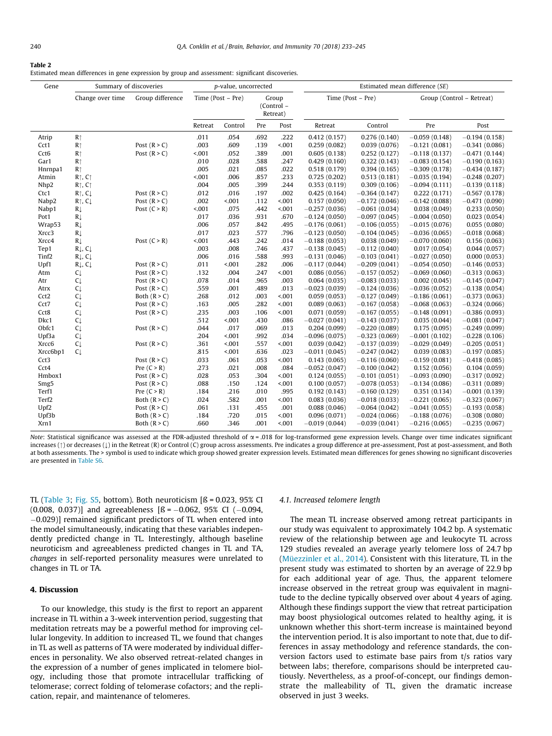#### <span id="page-7-0"></span>Table 2

Estimated mean differences in gene expression by group and assessment: significant discoveries.

| Group difference<br>Time (Post - Pre)<br>Group<br>Time (Post - Pre)<br>Group (Control - Retreat)<br>Change over time<br>(Control -<br>Retreat)<br>Control<br>Control<br>Pre<br>Post<br>Pre<br>Post<br>Retreat<br>Retreat<br>.692<br>R <sub>1</sub><br>.011<br>.054<br>.222<br>0.412(0.157)<br>0.276(0.140)<br>$-0.059(0.148)$<br>Atrip<br>$-0.194(0.158)$<br>.003<br>< 0.01<br>R <sub>1</sub><br>Post $(R > C)$<br>.609<br>.139<br>0.259(0.082)<br>0.039(0.076)<br>Cct1<br>$-0.121(0.081)$<br>$-0.341(0.086)$<br>$R \uparrow$<br>Post $(R > C)$<br>.389<br>Cct <sub>6</sub><br>< .001<br>.052<br>.001<br>0.605(0.138)<br>0.252(0.127)<br>$-0.118(0.137)$<br>$-0.471(0.144)$<br>R <sub>1</sub><br>.010<br>.028<br>.588<br>.247<br>Gar1<br>0.429(0.160)<br>0.322(0.143)<br>$-0.083(0.154)$<br>$-0.190(0.163)$<br>.022<br>R <sub>1</sub><br>.005<br>.021<br>.085<br>0.518(0.179)<br>0.394(0.165)<br>$-0.309(0.178)$<br>$-0.434(0.187)$<br>Hnrnpa1<br>< .001<br>.857<br>.233<br>Atmin<br>$R\uparrow$ , C $\uparrow$<br>.006<br>0.725(0.202)<br>0.513(0.181)<br>$-0.035(0.194)$<br>$-0.248(0.207)$<br>$R\uparrow$ , $C\uparrow$<br>.004<br>.005<br>.399<br>.244<br>$-0.094(0.111)$<br>Nhp <sub>2</sub><br>0.353(0.119)<br>0.309(0.106)<br>$-0.139(0.118)$<br>.012<br>.002<br>Ctc1<br>$R\uparrow$ , $C\downarrow$<br>Post $(R > C)$<br>.016<br>.197<br>0.425(0.164)<br>$-0.364(0.147)$<br>0.222(0.171)<br>$-0.567(0.178)$<br>.002<br>< .001<br>$R\uparrow$ , $C\downarrow$<br>Post $(R > C)$<br>< 0.01<br>.112<br>0.157(0.050)<br>$-0.142(0.088)$<br>Nabp2<br>$-0.172(0.046)$<br>$-0.471(0.090)$<br>.075<br>.442<br>< 0.01<br>$R\downarrow$<br>Post $(C > R)$<br>< .001<br>$-0.257(0.036)$<br>$-0.061(0.034)$<br>0.038(0.049)<br>0.233(0.050)<br>Nabp1<br>.931<br>Pot1<br>$R\downarrow$<br>.017<br>.036<br>.670<br>$-0.097(0.045)$<br>0.023(0.054)<br>$-0.124(0.050)$<br>$-0.004(0.050)$<br>.006<br>.842<br>$R \downarrow$<br>.057<br>.495<br>Wrap53<br>$-0.176(0.061)$<br>$-0.106(0.055)$<br>$-0.015(0.076)$<br>0.055(0.080)<br>$R\downarrow$<br>.017<br>.023<br>.577<br>.796<br>Xrcc3<br>$-0.123(0.050)$<br>$-0.104(0.045)$<br>$-0.036(0.065)$<br>$-0.018(0.068)$<br>$R\downarrow$<br>< .001<br>.242<br>Xrcc4<br>Post $(C > R)$<br>.443<br>.014<br>$-0.070(0.060)$<br>0.156(0.063)<br>$-0.188(0.053)$<br>0.038(0.049)<br>.003<br>.746<br>.437<br>$R\downarrow$ , $C\downarrow$<br>.008<br>$-0.138(0.045)$<br>$-0.112(0.040)$<br>0.017(0.054)<br>0.044(0.057)<br>Tep1 |
|------------------------------------------------------------------------------------------------------------------------------------------------------------------------------------------------------------------------------------------------------------------------------------------------------------------------------------------------------------------------------------------------------------------------------------------------------------------------------------------------------------------------------------------------------------------------------------------------------------------------------------------------------------------------------------------------------------------------------------------------------------------------------------------------------------------------------------------------------------------------------------------------------------------------------------------------------------------------------------------------------------------------------------------------------------------------------------------------------------------------------------------------------------------------------------------------------------------------------------------------------------------------------------------------------------------------------------------------------------------------------------------------------------------------------------------------------------------------------------------------------------------------------------------------------------------------------------------------------------------------------------------------------------------------------------------------------------------------------------------------------------------------------------------------------------------------------------------------------------------------------------------------------------------------------------------------------------------------------------------------------------------------------------------------------------------------------------------------------------------------------------------------------------------------------------------------------------------------------------------------------------------------------------------------------------------------------------------------------------------------------------------------------------------------------------------------------------------|
|                                                                                                                                                                                                                                                                                                                                                                                                                                                                                                                                                                                                                                                                                                                                                                                                                                                                                                                                                                                                                                                                                                                                                                                                                                                                                                                                                                                                                                                                                                                                                                                                                                                                                                                                                                                                                                                                                                                                                                                                                                                                                                                                                                                                                                                                                                                                                                                                                                                                  |
|                                                                                                                                                                                                                                                                                                                                                                                                                                                                                                                                                                                                                                                                                                                                                                                                                                                                                                                                                                                                                                                                                                                                                                                                                                                                                                                                                                                                                                                                                                                                                                                                                                                                                                                                                                                                                                                                                                                                                                                                                                                                                                                                                                                                                                                                                                                                                                                                                                                                  |
|                                                                                                                                                                                                                                                                                                                                                                                                                                                                                                                                                                                                                                                                                                                                                                                                                                                                                                                                                                                                                                                                                                                                                                                                                                                                                                                                                                                                                                                                                                                                                                                                                                                                                                                                                                                                                                                                                                                                                                                                                                                                                                                                                                                                                                                                                                                                                                                                                                                                  |
|                                                                                                                                                                                                                                                                                                                                                                                                                                                                                                                                                                                                                                                                                                                                                                                                                                                                                                                                                                                                                                                                                                                                                                                                                                                                                                                                                                                                                                                                                                                                                                                                                                                                                                                                                                                                                                                                                                                                                                                                                                                                                                                                                                                                                                                                                                                                                                                                                                                                  |
|                                                                                                                                                                                                                                                                                                                                                                                                                                                                                                                                                                                                                                                                                                                                                                                                                                                                                                                                                                                                                                                                                                                                                                                                                                                                                                                                                                                                                                                                                                                                                                                                                                                                                                                                                                                                                                                                                                                                                                                                                                                                                                                                                                                                                                                                                                                                                                                                                                                                  |
|                                                                                                                                                                                                                                                                                                                                                                                                                                                                                                                                                                                                                                                                                                                                                                                                                                                                                                                                                                                                                                                                                                                                                                                                                                                                                                                                                                                                                                                                                                                                                                                                                                                                                                                                                                                                                                                                                                                                                                                                                                                                                                                                                                                                                                                                                                                                                                                                                                                                  |
|                                                                                                                                                                                                                                                                                                                                                                                                                                                                                                                                                                                                                                                                                                                                                                                                                                                                                                                                                                                                                                                                                                                                                                                                                                                                                                                                                                                                                                                                                                                                                                                                                                                                                                                                                                                                                                                                                                                                                                                                                                                                                                                                                                                                                                                                                                                                                                                                                                                                  |
|                                                                                                                                                                                                                                                                                                                                                                                                                                                                                                                                                                                                                                                                                                                                                                                                                                                                                                                                                                                                                                                                                                                                                                                                                                                                                                                                                                                                                                                                                                                                                                                                                                                                                                                                                                                                                                                                                                                                                                                                                                                                                                                                                                                                                                                                                                                                                                                                                                                                  |
|                                                                                                                                                                                                                                                                                                                                                                                                                                                                                                                                                                                                                                                                                                                                                                                                                                                                                                                                                                                                                                                                                                                                                                                                                                                                                                                                                                                                                                                                                                                                                                                                                                                                                                                                                                                                                                                                                                                                                                                                                                                                                                                                                                                                                                                                                                                                                                                                                                                                  |
|                                                                                                                                                                                                                                                                                                                                                                                                                                                                                                                                                                                                                                                                                                                                                                                                                                                                                                                                                                                                                                                                                                                                                                                                                                                                                                                                                                                                                                                                                                                                                                                                                                                                                                                                                                                                                                                                                                                                                                                                                                                                                                                                                                                                                                                                                                                                                                                                                                                                  |
|                                                                                                                                                                                                                                                                                                                                                                                                                                                                                                                                                                                                                                                                                                                                                                                                                                                                                                                                                                                                                                                                                                                                                                                                                                                                                                                                                                                                                                                                                                                                                                                                                                                                                                                                                                                                                                                                                                                                                                                                                                                                                                                                                                                                                                                                                                                                                                                                                                                                  |
|                                                                                                                                                                                                                                                                                                                                                                                                                                                                                                                                                                                                                                                                                                                                                                                                                                                                                                                                                                                                                                                                                                                                                                                                                                                                                                                                                                                                                                                                                                                                                                                                                                                                                                                                                                                                                                                                                                                                                                                                                                                                                                                                                                                                                                                                                                                                                                                                                                                                  |
|                                                                                                                                                                                                                                                                                                                                                                                                                                                                                                                                                                                                                                                                                                                                                                                                                                                                                                                                                                                                                                                                                                                                                                                                                                                                                                                                                                                                                                                                                                                                                                                                                                                                                                                                                                                                                                                                                                                                                                                                                                                                                                                                                                                                                                                                                                                                                                                                                                                                  |
|                                                                                                                                                                                                                                                                                                                                                                                                                                                                                                                                                                                                                                                                                                                                                                                                                                                                                                                                                                                                                                                                                                                                                                                                                                                                                                                                                                                                                                                                                                                                                                                                                                                                                                                                                                                                                                                                                                                                                                                                                                                                                                                                                                                                                                                                                                                                                                                                                                                                  |
|                                                                                                                                                                                                                                                                                                                                                                                                                                                                                                                                                                                                                                                                                                                                                                                                                                                                                                                                                                                                                                                                                                                                                                                                                                                                                                                                                                                                                                                                                                                                                                                                                                                                                                                                                                                                                                                                                                                                                                                                                                                                                                                                                                                                                                                                                                                                                                                                                                                                  |
|                                                                                                                                                                                                                                                                                                                                                                                                                                                                                                                                                                                                                                                                                                                                                                                                                                                                                                                                                                                                                                                                                                                                                                                                                                                                                                                                                                                                                                                                                                                                                                                                                                                                                                                                                                                                                                                                                                                                                                                                                                                                                                                                                                                                                                                                                                                                                                                                                                                                  |
|                                                                                                                                                                                                                                                                                                                                                                                                                                                                                                                                                                                                                                                                                                                                                                                                                                                                                                                                                                                                                                                                                                                                                                                                                                                                                                                                                                                                                                                                                                                                                                                                                                                                                                                                                                                                                                                                                                                                                                                                                                                                                                                                                                                                                                                                                                                                                                                                                                                                  |
| .006<br>.016<br>.588<br>.993<br>Tinf <sub>2</sub><br>$R\downarrow$ , $C\downarrow$<br>$-0.131(0.046)$<br>$-0.103(0.041)$<br>$-0.027(0.050)$<br>0.000(0.053)                                                                                                                                                                                                                                                                                                                                                                                                                                                                                                                                                                                                                                                                                                                                                                                                                                                                                                                                                                                                                                                                                                                                                                                                                                                                                                                                                                                                                                                                                                                                                                                                                                                                                                                                                                                                                                                                                                                                                                                                                                                                                                                                                                                                                                                                                                      |
| $R\downarrow$ , $C\downarrow$<br>Post $(R > C)$<br>.011<br>< 0.01<br>.282<br>.006<br>$-0.117(0.044)$<br>$-0.209(0.041)$<br>Upf1<br>$-0.054(0.050)$<br>$-0.146(0.053)$                                                                                                                                                                                                                                                                                                                                                                                                                                                                                                                                                                                                                                                                                                                                                                                                                                                                                                                                                                                                                                                                                                                                                                                                                                                                                                                                                                                                                                                                                                                                                                                                                                                                                                                                                                                                                                                                                                                                                                                                                                                                                                                                                                                                                                                                                            |
| .247<br>Post $(R > C)$<br>.132<br>.004<br>< 0.001<br>0.086(0.056)<br>$-0.157(0.052)$<br>$-0.069(0.060)$<br>$-0.313(0.063)$<br>Atm<br>$C \downarrow$                                                                                                                                                                                                                                                                                                                                                                                                                                                                                                                                                                                                                                                                                                                                                                                                                                                                                                                                                                                                                                                                                                                                                                                                                                                                                                                                                                                                                                                                                                                                                                                                                                                                                                                                                                                                                                                                                                                                                                                                                                                                                                                                                                                                                                                                                                              |
| .078<br>.965<br>.003<br>$C \downarrow$<br>Post $(R > C)$<br>.014<br>0.064(0.035)<br>$-0.083(0.033)$<br>0.002(0.045)<br>Atr<br>$-0.145(0.047)$                                                                                                                                                                                                                                                                                                                                                                                                                                                                                                                                                                                                                                                                                                                                                                                                                                                                                                                                                                                                                                                                                                                                                                                                                                                                                                                                                                                                                                                                                                                                                                                                                                                                                                                                                                                                                                                                                                                                                                                                                                                                                                                                                                                                                                                                                                                    |
| $C \downarrow$<br>.559<br>.001<br>.489<br>.013<br>$-0.023(0.039)$<br>Post $(R > C)$<br>$-0.124(0.036)$<br>$-0.036(0.052)$<br>$-0.138(0.054)$<br>Atrx                                                                                                                                                                                                                                                                                                                                                                                                                                                                                                                                                                                                                                                                                                                                                                                                                                                                                                                                                                                                                                                                                                                                                                                                                                                                                                                                                                                                                                                                                                                                                                                                                                                                                                                                                                                                                                                                                                                                                                                                                                                                                                                                                                                                                                                                                                             |
| .268<br>.012<br>.003<br>< 0.01<br>Cct2<br>$C \downarrow$<br>Both $(R > C)$<br>0.059(0.053)<br>$-0.127(0.049)$<br>$-0.186(0.061)$<br>$-0.373(0.063)$                                                                                                                                                                                                                                                                                                                                                                                                                                                                                                                                                                                                                                                                                                                                                                                                                                                                                                                                                                                                                                                                                                                                                                                                                                                                                                                                                                                                                                                                                                                                                                                                                                                                                                                                                                                                                                                                                                                                                                                                                                                                                                                                                                                                                                                                                                              |
| .282<br>< 0.01<br>$C \downarrow$<br>Post $(R > C)$<br>.163<br>.005<br>0.089(0.063)<br>$-0.167(0.058)$<br>Cct7<br>$-0.068(0.063)$<br>$-0.324(0.066)$                                                                                                                                                                                                                                                                                                                                                                                                                                                                                                                                                                                                                                                                                                                                                                                                                                                                                                                                                                                                                                                                                                                                                                                                                                                                                                                                                                                                                                                                                                                                                                                                                                                                                                                                                                                                                                                                                                                                                                                                                                                                                                                                                                                                                                                                                                              |
| $C \downarrow$<br>.235<br>.003<br>.106<br>< 0.01<br>$-0.386(0.093)$<br>Cct8<br>Post $(R > C)$<br>0.071(0.059)<br>$-0.167(0.055)$<br>$-0.148(0.091)$                                                                                                                                                                                                                                                                                                                                                                                                                                                                                                                                                                                                                                                                                                                                                                                                                                                                                                                                                                                                                                                                                                                                                                                                                                                                                                                                                                                                                                                                                                                                                                                                                                                                                                                                                                                                                                                                                                                                                                                                                                                                                                                                                                                                                                                                                                              |
| .512<br>.086<br>Dkc1<br>$C \downarrow$<br>< 0.001<br>.430<br>$-0.027(0.041)$<br>$-0.143(0.037)$<br>0.035(0.044)<br>$-0.081(0.047)$                                                                                                                                                                                                                                                                                                                                                                                                                                                                                                                                                                                                                                                                                                                                                                                                                                                                                                                                                                                                                                                                                                                                                                                                                                                                                                                                                                                                                                                                                                                                                                                                                                                                                                                                                                                                                                                                                                                                                                                                                                                                                                                                                                                                                                                                                                                               |
| Post $(R > C)$<br>.044<br>.017<br>.069<br>.013<br>Obfc1<br>$C \downarrow$<br>0.204(0.099)<br>$-0.220(0.089)$<br>0.175(0.095)<br>$-0.249(0.099)$                                                                                                                                                                                                                                                                                                                                                                                                                                                                                                                                                                                                                                                                                                                                                                                                                                                                                                                                                                                                                                                                                                                                                                                                                                                                                                                                                                                                                                                                                                                                                                                                                                                                                                                                                                                                                                                                                                                                                                                                                                                                                                                                                                                                                                                                                                                  |
| $C \downarrow$<br>.204<br>< 0.01<br>.992<br>.034<br>Upf3a<br>$-0.096(0.075)$<br>$-0.323(0.069)$<br>$-0.001(0.102)$<br>$-0.228(0.106)$                                                                                                                                                                                                                                                                                                                                                                                                                                                                                                                                                                                                                                                                                                                                                                                                                                                                                                                                                                                                                                                                                                                                                                                                                                                                                                                                                                                                                                                                                                                                                                                                                                                                                                                                                                                                                                                                                                                                                                                                                                                                                                                                                                                                                                                                                                                            |
| .361<br>< 0.01<br>.557<br>< 0.01<br>Xrcc <sub>6</sub><br>$C \downarrow$<br>Post $(R > C)$<br>0.039(0.042)<br>$-0.137(0.039)$<br>$-0.029(0.049)$<br>$-0.205(0.051)$                                                                                                                                                                                                                                                                                                                                                                                                                                                                                                                                                                                                                                                                                                                                                                                                                                                                                                                                                                                                                                                                                                                                                                                                                                                                                                                                                                                                                                                                                                                                                                                                                                                                                                                                                                                                                                                                                                                                                                                                                                                                                                                                                                                                                                                                                               |
| $C \downarrow$<br>.815<br>< 0.01<br>.636<br>.023<br>Xrcc6bp1<br>$-0.011(0.045)$<br>$-0.247(0.042)$<br>0.039(0.083)<br>$-0.197(0.085)$                                                                                                                                                                                                                                                                                                                                                                                                                                                                                                                                                                                                                                                                                                                                                                                                                                                                                                                                                                                                                                                                                                                                                                                                                                                                                                                                                                                                                                                                                                                                                                                                                                                                                                                                                                                                                                                                                                                                                                                                                                                                                                                                                                                                                                                                                                                            |
| .033<br>.053<br>< 0.01<br>Cct3<br>Post $(R > C)$<br>.061<br>0.143(0.065)<br>$-0.116(0.060)$<br>$-0.159(0.081)$<br>$-0.418(0.085)$                                                                                                                                                                                                                                                                                                                                                                                                                                                                                                                                                                                                                                                                                                                                                                                                                                                                                                                                                                                                                                                                                                                                                                                                                                                                                                                                                                                                                                                                                                                                                                                                                                                                                                                                                                                                                                                                                                                                                                                                                                                                                                                                                                                                                                                                                                                                |
| Cct4<br>Pre $(C > R)$<br>.273<br>.008<br>.084<br>.021<br>$-0.052(0.047)$<br>$-0.100(0.042)$<br>0.152(0.056)<br>0.104(0.059)                                                                                                                                                                                                                                                                                                                                                                                                                                                                                                                                                                                                                                                                                                                                                                                                                                                                                                                                                                                                                                                                                                                                                                                                                                                                                                                                                                                                                                                                                                                                                                                                                                                                                                                                                                                                                                                                                                                                                                                                                                                                                                                                                                                                                                                                                                                                      |
| .028<br>.053<br>.304<br>< 001<br>Hmbox1<br>Post $(R > C)$<br>0.124(0.055)<br>$-0.101(0.051)$<br>$-0.093(0.090)$<br>$-0.317(0.092)$                                                                                                                                                                                                                                                                                                                                                                                                                                                                                                                                                                                                                                                                                                                                                                                                                                                                                                                                                                                                                                                                                                                                                                                                                                                                                                                                                                                                                                                                                                                                                                                                                                                                                                                                                                                                                                                                                                                                                                                                                                                                                                                                                                                                                                                                                                                               |
| .088<br>.124<br>< .001<br>Post $(R > C)$<br>.150<br>0.100(0.057)<br>$-0.078(0.053)$<br>Smg5<br>$-0.134(0.086)$<br>$-0.311(0.089)$                                                                                                                                                                                                                                                                                                                                                                                                                                                                                                                                                                                                                                                                                                                                                                                                                                                                                                                                                                                                                                                                                                                                                                                                                                                                                                                                                                                                                                                                                                                                                                                                                                                                                                                                                                                                                                                                                                                                                                                                                                                                                                                                                                                                                                                                                                                                |
| Terf1<br>.184<br>.216<br>.010<br>.995<br>Pre $(C > R)$<br>0.192(0.143)<br>$-0.160(0.129)$<br>0.351(0.134)<br>$-0.001(0.139)$                                                                                                                                                                                                                                                                                                                                                                                                                                                                                                                                                                                                                                                                                                                                                                                                                                                                                                                                                                                                                                                                                                                                                                                                                                                                                                                                                                                                                                                                                                                                                                                                                                                                                                                                                                                                                                                                                                                                                                                                                                                                                                                                                                                                                                                                                                                                     |
| Terf <sub>2</sub><br>.024<br>.582<br>.001<br>< 0.01<br>Both $(R > C)$<br>0.083(0.036)<br>$-0.018(0.033)$<br>$-0.221(0.065)$<br>$-0.323(0.067)$                                                                                                                                                                                                                                                                                                                                                                                                                                                                                                                                                                                                                                                                                                                                                                                                                                                                                                                                                                                                                                                                                                                                                                                                                                                                                                                                                                                                                                                                                                                                                                                                                                                                                                                                                                                                                                                                                                                                                                                                                                                                                                                                                                                                                                                                                                                   |
| Upf <sub>2</sub><br>.061<br>.455<br>.001<br>Post $(R > C)$<br>.131<br>0.088(0.046)<br>$-0.064(0.042)$<br>$-0.041(0.055)$<br>$-0.193(0.058)$                                                                                                                                                                                                                                                                                                                                                                                                                                                                                                                                                                                                                                                                                                                                                                                                                                                                                                                                                                                                                                                                                                                                                                                                                                                                                                                                                                                                                                                                                                                                                                                                                                                                                                                                                                                                                                                                                                                                                                                                                                                                                                                                                                                                                                                                                                                      |
| Upf3b<br>.184<br>.720<br>.015<br>< 0.01<br>Both $(R > C)$<br>0.096(0.071)<br>$-0.024(0.066)$<br>$-0.188(0.076)$<br>$-0.308(0.080)$                                                                                                                                                                                                                                                                                                                                                                                                                                                                                                                                                                                                                                                                                                                                                                                                                                                                                                                                                                                                                                                                                                                                                                                                                                                                                                                                                                                                                                                                                                                                                                                                                                                                                                                                                                                                                                                                                                                                                                                                                                                                                                                                                                                                                                                                                                                               |
| .660<br>.346<br>.001<br>< 0.001<br>Xrn1<br>Both $(R > C)$<br>$-0.019(0.044)$<br>$-0.039(0.041)$<br>$-0.216(0.065)$<br>$-0.235(0.067)$                                                                                                                                                                                                                                                                                                                                                                                                                                                                                                                                                                                                                                                                                                                                                                                                                                                                                                                                                                                                                                                                                                                                                                                                                                                                                                                                                                                                                                                                                                                                                                                                                                                                                                                                                                                                                                                                                                                                                                                                                                                                                                                                                                                                                                                                                                                            |

Note: Statistical significance was assessed at the FDR-adjusted threshold of  $\alpha$  = .018 for log-transformed gene expression levels. Change over time indicates significant increases (1) or decreases (1) in the Retreat (R) or Control (C) group across assessments. Pre indicates a group difference at pre-assessment, Post at post-assessment, and Both at both assessments. The > symbol is used to indicate which group showed greater expression levels. Estimated mean differences for genes showing no significant discoveries are presented in Table S6.

TL ([Table 3;](#page-8-0) Fig. S5, bottom). Both neuroticism  $\lceil \beta = 0.023, 95\% \text{ CI} \rceil$  $(0.008, 0.037)$ ] and agreeableness  $[S = -0.062, 95\% \text{ CI } (-0.094,$ 0.029)] remained significant predictors of TL when entered into the model simultaneously, indicating that these variables independently predicted change in TL. Interestingly, although baseline neuroticism and agreeableness predicted changes in TL and TA, changes in self-reported personality measures were unrelated to changes in TL or TA.

# 4. Discussion

To our knowledge, this study is the first to report an apparent increase in TL within a 3-week intervention period, suggesting that meditation retreats may be a powerful method for improving cellular longevity. In addition to increased TL, we found that changes in TL as well as patterns of TA were moderated by individual differences in personality. We also observed retreat-related changes in the expression of a number of genes implicated in telomere biology, including those that promote intracellular trafficking of telomerase; correct folding of telomerase cofactors; and the replication, repair, and maintenance of telomeres.

### 4.1. Increased telomere length

The mean TL increase observed among retreat participants in our study was equivalent to approximately 104.2 bp. A systematic review of the relationship between age and leukocyte TL across 129 studies revealed an average yearly telomere loss of 24.7 bp ([Müezzinler et al., 2014](#page-12-0)). Consistent with this literature, TL in the present study was estimated to shorten by an average of 22.9 bp for each additional year of age. Thus, the apparent telomere increase observed in the retreat group was equivalent in magnitude to the decline typically observed over about 4 years of aging. Although these findings support the view that retreat participation may boost physiological outcomes related to healthy aging, it is unknown whether this short-term increase is maintained beyond the intervention period. It is also important to note that, due to differences in assay methodology and reference standards, the conversion factors used to estimate base pairs from t/s ratios vary between labs; therefore, comparisons should be interpreted cautiously. Nevertheless, as a proof-of-concept, our findings demonstrate the malleability of TL, given the dramatic increase observed in just 3 weeks.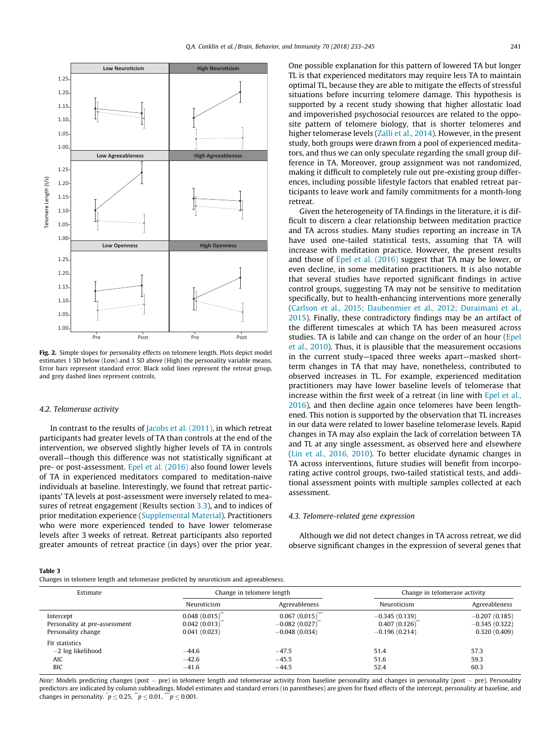<span id="page-8-0"></span>

Fig. 2. Simple slopes for personality effects on telomere length. Plots depict model estimates 1 SD below (Low) and 1 SD above (High) the personality variable means. Error bars represent standard error. Black solid lines represent the retreat group, and grey dashed lines represent controls.

### 4.2. Telomerase activity

In contrast to the results of [Jacobs et al. \(2011\)](#page-11-0), in which retreat participants had greater levels of TA than controls at the end of the intervention, we observed slightly higher levels of TA in controls overall—though this difference was not statistically significant at pre- or post-assessment. [Epel et al. \(2016\)](#page-11-0) also found lower levels of TA in experienced meditators compared to meditation-naive individuals at baseline. Interestingly, we found that retreat participants' TA levels at post-assessment were inversely related to measures of retreat engagement (Results section [3.3\)](#page-5-0), and to indices of prior meditation experience (Supplemental Material). Practitioners who were more experienced tended to have lower telomerase levels after 3 weeks of retreat. Retreat participants also reported greater amounts of retreat practice (in days) over the prior year. One possible explanation for this pattern of lowered TA but longer TL is that experienced meditators may require less TA to maintain optimal TL, because they are able to mitigate the effects of stressful situations before incurring telomere damage. This hypothesis is supported by a recent study showing that higher allostatic load and impoverished psychosocial resources are related to the opposite pattern of telomere biology, that is shorter telomeres and higher telomerase levels ([Zalli et al., 2014](#page-12-0)). However, in the present study, both groups were drawn from a pool of experienced meditators, and thus we can only speculate regarding the small group difference in TA. Moreover, group assignment was not randomized, making it difficult to completely rule out pre-existing group differences, including possible lifestyle factors that enabled retreat participants to leave work and family commitments for a month-long retreat.

Given the heterogeneity of TA findings in the literature, it is difficult to discern a clear relationship between meditation practice and TA across studies. Many studies reporting an increase in TA have used one-tailed statistical tests, assuming that TA will increase with meditation practice. However, the present results and those of [Epel et al. \(2016\)](#page-11-0) suggest that TA may be lower, or even decline, in some meditation practitioners. It is also notable that several studies have reported significant findings in active control groups, suggesting TA may not be sensitive to meditation specifically, but to health-enhancing interventions more generally ([Carlson et al., 2015; Daubenmier et al., 2012; Duraimani et al.,](#page-11-0) [2015](#page-11-0)). Finally, these contradictory findings may be an artifact of the different timescales at which TA has been measured across studies. TA is labile and can change on the order of an hour [\(Epel](#page-11-0) [et al., 2010\)](#page-11-0). Thus, it is plausible that the measurement occasions in the current study—spaced three weeks apart—masked shortterm changes in TA that may have, nonetheless, contributed to observed increases in TL. For example, experienced meditation practitioners may have lower baseline levels of telomerase that increase within the first week of a retreat (in line with [Epel et al.,](#page-11-0) [2016](#page-11-0)), and then decline again once telomeres have been lengthened. This notion is supported by the observation that TL increases in our data were related to lower baseline telomerase levels. Rapid changes in TA may also explain the lack of correlation between TA and TL at any single assessment, as observed here and elsewhere ([Lin et al., 2016, 2010\)](#page-11-0). To better elucidate dynamic changes in TA across interventions, future studies will benefit from incorporating active control groups, two-tailed statistical tests, and additional assessment points with multiple samples collected at each assessment.

### 4.3. Telomere-related gene expression

Although we did not detect changes in TA across retreat, we did observe significant changes in the expression of several genes that

#### Table 3

Changes in telomere length and telomerase predicted by neuroticism and agreeableness.

| Estimate                                                          |                                                        | Change in telomere length                                    |                                                                   | Change in telomerase activity                      |  |  |
|-------------------------------------------------------------------|--------------------------------------------------------|--------------------------------------------------------------|-------------------------------------------------------------------|----------------------------------------------------|--|--|
|                                                                   | Neuroticism                                            | Agreeableness                                                | Neuroticism                                                       | Agreeableness                                      |  |  |
| Intercept<br>Personality at pre-assessment<br>Personality change  | $0.048(0.015)$ "<br>$0.042(0.013)^{*}$<br>0.041(0.023) | $0.067(0.015)$ ***<br>$-0.082(0.027)^{*}$<br>$-0.048(0.034)$ | $-0.345(0.139)$<br>$0.407(0.126)$ <sup>*</sup><br>$-0.196(0.214)$ | $-0.207(0.185)$<br>$-0.345(0.322)$<br>0.320(0.409) |  |  |
| Fit statistics<br>$-2$ log likelihood<br><b>AIC</b><br><b>BIC</b> | $-44.6$<br>$-42.6$<br>$-41.6$                          | $-47.5$<br>$-45.5$<br>$-44.5$                                | 51.4<br>51.6<br>52.4                                              | 57.3<br>59.3<br>60.3                               |  |  |

Note: Models predicting changes (post  $-$  pre) in telomere length and telomerase activity from baseline personality and changes in personality (post  $-$  pre). Personality predictors are indicated by column subheadings. Model estimates and standard errors (in parentheses) are given for fixed effects of the intercept, personality at baseline, and changes in personality.  $\dot{p} \le 0.25$ ,  $\ddot{p} \le 0.01$ ,  $\ddot{p} \le 0.001$ .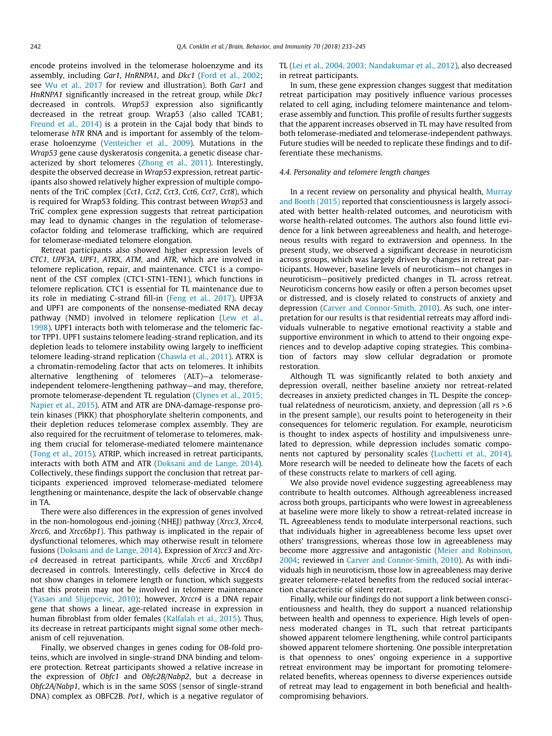encode proteins involved in the telomerase holoenzyme and its assembly, including Gar1, HnRNPA1, and Dkc1 ([Ford et al., 2002;](#page-11-0) see [Wu et al., 2017](#page-12-0) for review and illustration). Both Gar1 and HnRNPA1 significantly increased in the retreat group, while Dkc1 decreased in controls. Wrap53 expression also significantly decreased in the retreat group. Wrap53 (also called TCAB1; [Freund et al., 2014\)](#page-11-0) is a protein in the Cajal body that binds to telomerase hTR RNA and is important for assembly of the telomerase holoenzyme [\(Venteicher et al., 2009](#page-12-0)). Mutations in the Wrap53 gene cause dyskeratosis congenita, a genetic disease characterized by short telomeres ([Zhong et al., 2011](#page-12-0)). Interestingly, despite the observed decrease in Wrap53 expression, retreat participants also showed relatively higher expression of multiple components of the TriC complex (Cct1, Cct2, Cct3, Cct6, Cct7, Cct8), which is required for Wrap53 folding. This contrast between Wrap53 and TriC complex gene expression suggests that retreat participation may lead to dynamic changes in the regulation of telomerasecofactor folding and telomerase trafficking, which are required for telomerase-mediated telomere elongation.

Retreat participants also showed higher expression levels of CTC1, UPF3A, UPF1, ATRX, ATM, and ATR, which are involved in telomere replication, repair, and maintenance. CTC1 is a component of the CST complex (CTC1-STN1-TEN1), which functions in telomere replication. CTC1 is essential for TL maintenance due to its role in mediating C-strand fill-in [\(Feng et al., 2017\)](#page-11-0). UPF3A and UPF1 are components of the nonsense-mediated RNA decay pathway (NMD) involved in telomere replication [\(Lew et al.,](#page-11-0) [1998\)](#page-11-0). UPF1 interacts both with telomerase and the telomeric factor TPP1. UPF1 sustains telomere leading-strand replication, and its depletion leads to telomere instability owing largely to inefficient telomere leading-strand replication ([Chawla et al., 2011\)](#page-11-0). ATRX is a chromatin-remodeling factor that acts on telomeres. It inhibits alternative lengthening of telomeres (ALT)—a telomeraseindependent telomere-lengthening pathway—and may, therefore, promote telomerase-dependent TL regulation [\(Clynes et al., 2015;](#page-11-0) [Napier et al., 2015](#page-11-0)). ATM and ATR are DNA-damage-response protein kinases (PIKK) that phosphorylate shelterin components, and their depletion reduces telomerase complex assembly. They are also required for the recruitment of telomerase to telomeres, making them crucial for telomerase-mediated telomere maintenance ([Tong et al., 2015](#page-12-0)). ATRIP, which increased in retreat participants, interacts with both ATM and ATR ([Doksani and de Lange, 2014\)](#page-11-0). Collectively, these findings support the conclusion that retreat participants experienced improved telomerase-mediated telomere lengthening or maintenance, despite the lack of observable change in TA.

There were also differences in the expression of genes involved in the non-homologous end-joining (NHEJ) pathway (Xrcc3, Xrcc4, Xrcc6, and Xrcc6bp1). This pathway is implicated in the repair of dysfunctional telomeres, which may otherwise result in telomere fusions ([Doksani and de Lange, 2014](#page-11-0)). Expression of Xrcc3 and Xrcc4 decreased in retreat participants, while Xrcc6 and Xrcc6bp1 decreased in controls. Interestingly, cells defective in Xrcc4 do not show changes in telomere length or function, which suggests that this protein may not be involved in telomere maintenance ([Yasaei and Slijepcevic, 2010](#page-12-0)); however, Xrccr4 is a DNA repair gene that shows a linear, age-related increase in expression in human fibroblast from older females ([Kalfalah et al., 2015\)](#page-11-0). Thus, its decrease in retreat participants might signal some other mechanism of cell rejuvenation.

Finally, we observed changes in genes coding for OB-fold proteins, which are involved in single-strand DNA binding and telomere protection. Retreat participants showed a relative increase in the expression of Obfc1 and Obfc2B/Nabp2, but a decrease in Obfc2A/Nabp1, which is in the same SOSS (sensor of single-strand DNA) complex as OBFC2B. Pot1, which is a negative regulator of

# TL ([Lei et al., 2004, 2003; Nandakumar et al., 2012\)](#page-11-0), also decreased in retreat participants.

In sum, these gene expression changes suggest that meditation retreat participation may positively influence various processes related to cell aging, including telomere maintenance and telomerase assembly and function. This profile of results further suggests that the apparent increases observed in TL may have resulted from both telomerase-mediated and telomerase-independent pathways. Future studies will be needed to replicate these findings and to differentiate these mechanisms.

# 4.4. Personality and telomere length changes

In a recent review on personality and physical health, [Murray](#page-12-0) [and Booth \(2015\)](#page-12-0) reported that conscientiousness is largely associated with better health-related outcomes, and neuroticism with worse health-related outcomes. The authors also found little evidence for a link between agreeableness and health, and heterogeneous results with regard to extraversion and openness. In the present study, we observed a significant decrease in neuroticism across groups, which was largely driven by changes in retreat participants. However, baseline levels of neuroticism—not changes in neuroticism—positively predicted changes in TL across retreat. Neuroticism concerns how easily or often a person becomes upset or distressed, and is closely related to constructs of anxiety and depression ([Carver and Connor-Smith, 2010](#page-11-0)). As such, one interpretation for our results is that residential retreats may afford individuals vulnerable to negative emotional reactivity a stable and supportive environment in which to attend to their ongoing experiences and to develop adaptive coping strategies. This combination of factors may slow cellular degradation or promote restoration.

Although TL was significantly related to both anxiety and depression overall, neither baseline anxiety nor retreat-related decreases in anxiety predicted changes in TL. Despite the conceptual relatedness of neuroticism, anxiety, and depression (all  $rs > 0.6$ ) in the present sample), our results point to heterogeneity in their consequences for telomeric regulation. For example, neuroticism is thought to index aspects of hostility and impulsiveness unrelated to depression, while depression includes somatic components not captured by personality scales ([Luchetti et al., 2014\)](#page-11-0). More research will be needed to delineate how the facets of each of these constructs relate to markers of cell aging.

We also provide novel evidence suggesting agreeableness may contribute to health outcomes. Although agreeableness increased across both groups, participants who were lowest in agreeableness at baseline were more likely to show a retreat-related increase in TL. Agreeableness tends to modulate interpersonal reactions, such that individuals higher in agreeableness become less upset over others' transgressions, whereas those low in agreeableness may become more aggressive and antagonistic [\(Meier and Robinson,](#page-12-0) [2004;](#page-12-0) reviewed in [Carver and Connor-Smith, 2010\)](#page-11-0). As with individuals high in neuroticism, those low in agreeableness may derive greater telomere-related benefits from the reduced social interaction characteristic of silent retreat.

Finally, while our findings do not support a link between conscientiousness and health, they do support a nuanced relationship between health and openness to experience. High levels of openness moderated changes in TL, such that retreat participants showed apparent telomere lengthening, while control participants showed apparent telomere shortening. One possible interpretation is that openness to ones' ongoing experience in a supportive retreat environment may be important for promoting telomererelated benefits, whereas openness to diverse experiences outside of retreat may lead to engagement in both beneficial and healthcompromising behaviors.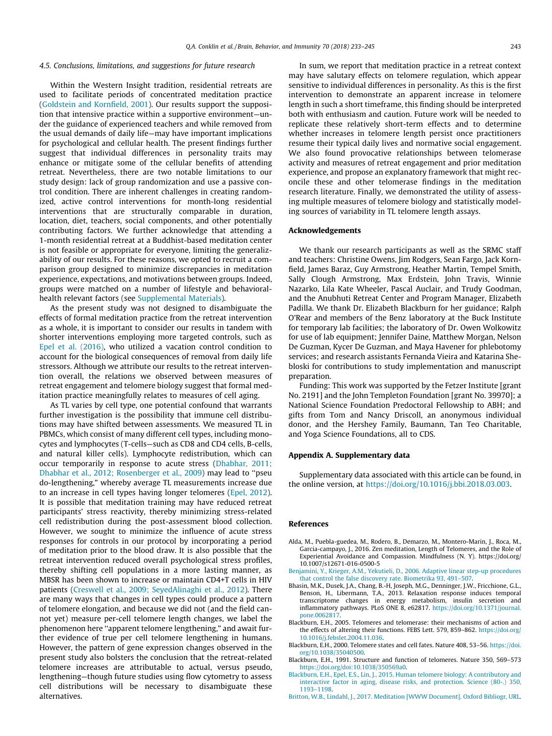#### <span id="page-10-0"></span>4.5. Conclusions, limitations, and suggestions for future research

Within the Western Insight tradition, residential retreats are used to facilitate periods of concentrated meditation practice ([Goldstein and Kornfield, 2001](#page-11-0)). Our results support the supposition that intensive practice within a supportive environment—under the guidance of experienced teachers and while removed from the usual demands of daily life—may have important implications for psychological and cellular health. The present findings further suggest that individual differences in personality traits may enhance or mitigate some of the cellular benefits of attending retreat. Nevertheless, there are two notable limitations to our study design: lack of group randomization and use a passive control condition. There are inherent challenges in creating randomized, active control interventions for month-long residential interventions that are structurally comparable in duration, location, diet, teachers, social components, and other potentially contributing factors. We further acknowledge that attending a 1-month residential retreat at a Buddhist-based meditation center is not feasible or appropriate for everyone, limiting the generalizability of our results. For these reasons, we opted to recruit a comparison group designed to minimize discrepancies in meditation experience, expectations, and motivations between groups. Indeed, groups were matched on a number of lifestyle and behavioralhealth relevant factors (see Supplemental Materials).

As the present study was not designed to disambiguate the effects of formal meditation practice from the retreat intervention as a whole, it is important to consider our results in tandem with shorter interventions employing more targeted controls, such as [Epel et al. \(2016\),](#page-11-0) who utilized a vacation control condition to account for the biological consequences of removal from daily life stressors. Although we attribute our results to the retreat intervention overall, the relations we observed between measures of retreat engagement and telomere biology suggest that formal meditation practice meaningfully relates to measures of cell aging.

As TL varies by cell type, one potential confound that warrants further investigation is the possibility that immune cell distributions may have shifted between assessments. We measured TL in PBMCs, which consist of many different cell types, including monocytes and lymphocytes (T-cells—such as CD8 and CD4 cells, B-cells, and natural killer cells). Lymphocyte redistribution, which can occur temporarily in response to acute stress [\(Dhabhar, 2011;](#page-11-0) [Dhabhar et al., 2012; Rosenberger et al., 2009\)](#page-11-0) may lead to ''pseu do-lengthening," whereby average TL measurements increase due to an increase in cell types having longer telomeres ([Epel, 2012\)](#page-11-0). It is possible that meditation training may have reduced retreat participants' stress reactivity, thereby minimizing stress-related cell redistribution during the post-assessment blood collection. However, we sought to minimize the influence of acute stress responses for controls in our protocol by incorporating a period of meditation prior to the blood draw. It is also possible that the retreat intervention reduced overall psychological stress profiles, thereby shifting cell populations in a more lasting manner, as MBSR has been shown to increase or maintain CD4+T cells in HIV patients [\(Creswell et al., 2009; SeyedAlinaghi et al., 2012](#page-11-0)). There are many ways that changes in cell types could produce a pattern of telomere elongation, and because we did not (and the field cannot yet) measure per-cell telomere length changes, we label the phenomenon here ''apparent telomere lengthening," and await further evidence of true per cell telomere lengthening in humans. However, the pattern of gene expression changes observed in the present study also bolsters the conclusion that the retreat-related telomere increases are attributable to actual, versus pseudo, lengthening—though future studies using flow cytometry to assess cell distributions will be necessary to disambiguate these alternatives.

In sum, we report that meditation practice in a retreat context may have salutary effects on telomere regulation, which appear sensitive to individual differences in personality. As this is the first intervention to demonstrate an apparent increase in telomere length in such a short timeframe, this finding should be interpreted both with enthusiasm and caution. Future work will be needed to replicate these relatively short-term effects and to determine whether increases in telomere length persist once practitioners resume their typical daily lives and normative social engagement. We also found provocative relationships between telomerase activity and measures of retreat engagement and prior meditation experience, and propose an explanatory framework that might reconcile these and other telomerase findings in the meditation research literature. Finally, we demonstrated the utility of assessing multiple measures of telomere biology and statistically modeling sources of variability in TL telomere length assays.

### Acknowledgements

We thank our research participants as well as the SRMC staff and teachers: Christine Owens, Jim Rodgers, Sean Fargo, Jack Kornfield, James Baraz, Guy Armstrong, Heather Martin, Tempel Smith, Sally Clough Armstrong, Max Erdstein, John Travis, Winnie Nazarko, Lila Kate Wheeler, Pascal Auclair, and Trudy Goodman, and the Anubhuti Retreat Center and Program Manager, Elizabeth Padilla. We thank Dr. Elizabeth Blackburn for her guidance; Ralph O'Rear and members of the Benz laboratory at the Buck Institute for temporary lab facilities; the laboratory of Dr. Owen Wolkowitz for use of lab equipment; Jennifer Daine, Matthew Morgan, Nelson De Guzman, Kycer De Guzman, and Maya Havener for phlebotomy services; and research assistants Fernanda Vieira and Katarina Shebloski for contributions to study implementation and manuscript preparation.

Funding: This work was supported by the Fetzer Institute [grant No. 2191] and the John Templeton Foundation [grant No. 39970]; a National Science Foundation Predoctoral Fellowship to ABH; and gifts from Tom and Nancy Driscoll, an anonymous individual donor, and the Hershey Family, Baumann, Tan Teo Charitable, and Yoga Science Foundations, all to CDS.

#### Appendix A. Supplementary data

Supplementary data associated with this article can be found, in the online version, at <https://doi.org/10.1016/j.bbi.2018.03.003>.

#### References

- Alda, M., Puebla-guedea, M., Rodero, B., Demarzo, M., Montero-Marin, J., Roca, M., Garcia-campayo, J., 2016. Zen meditation, Length of Telomeres, and the Role of Experiential Avoidance and Compassion. Mindfulness (N. Y). https://doi.org/ 10.1007/s12671-016-0500-5
- [Benjamini, Y., Krieger, A.M., Yekutieli, D., 2006. Adaptive linear step-up procedures](http://refhub.elsevier.com/S0889-1591(18)30047-3/h9005) [that control the false discovery rate. Biometrika 93, 491–507](http://refhub.elsevier.com/S0889-1591(18)30047-3/h9005).
- Bhasin, M.K., Dusek, J.A., Chang, B.-H, Joseph, M.G., Denninger, J.W., Fricchione, G.L., Benson, H., Libermann, T.A., 2013. Relaxation response induces temporal transcriptome changes in energy metabolism, insulin secretion and inflammatory pathways. PLoS ONE 8, e62817. [https://doi.org/10.1371/journal.](https://doi.org/10.1371/journal.pone.0062817) pone.006281
- Blackburn, E.H., 2005. Telomeres and telomerase: their mechanisms of action and the effects of altering their functions. FEBS Lett. 579, 859-862. [https://doi.org/](https://doi.org/10.1016/j.febslet.2004.11.036) [10.1016/j.febslet.2004.11.036.](https://doi.org/10.1016/j.febslet.2004.11.036)
- Blackburn, E.H., 2000. Telomere states and cell fates. Nature 408, 53–56. [https://doi.](https://doi.org/10.1038/35040500) [org/10.1038/35040500.](https://doi.org/10.1038/35040500)
- Blackburn, E.H., 1991. Structure and function of telomeres. Nature 350, 569–573 [https://doi.org/doi:10.1038/350569a0.](https://doi.org/doi:10.1038/350569a0)
- [Blackburn, E.H., Epel, E.S., Lin, J., 2015. Human telomere biology: A contributory and](http://refhub.elsevier.com/S0889-1591(18)30047-3/h0030) [interactive factor in aging, disease risks, and protection. Science \(80-.\) 350,](http://refhub.elsevier.com/S0889-1591(18)30047-3/h0030) [1193–1198.](http://refhub.elsevier.com/S0889-1591(18)30047-3/h0030)
- [Britton, W.B., Lindahl, J., 2017. Meditation \[WWW Document\]. Oxford Bibliogr, URL.](http://refhub.elsevier.com/S0889-1591(18)30047-3/h0035)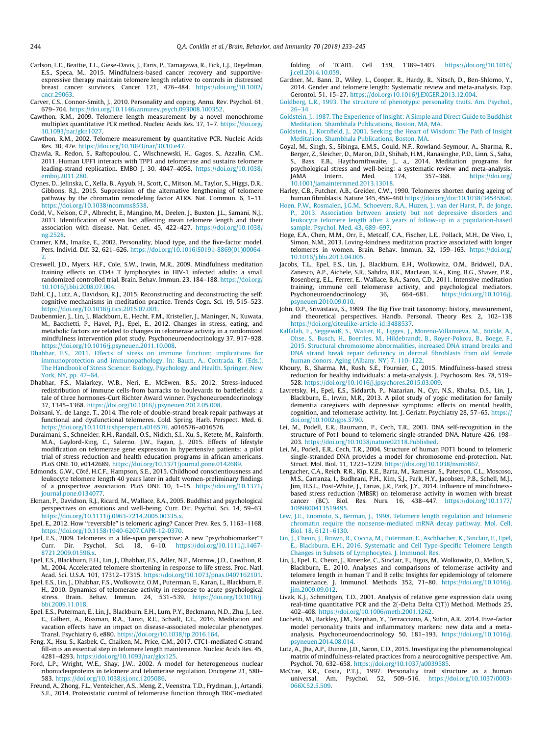- <span id="page-11-0"></span>Carlson, L.E., Beattie, T.L., Giese-Davis, J., Faris, P., Tamagawa, R., Fick, L.J., Degelman, E.S., Speca, M., 2015. Mindfulness-based cancer recovery and supportiveexpressive therapy maintain telomere length relative to controls in distressed breast cancer survivors. Cancer 121, 476–484. [https://doi.org/10.1002/](https://doi.org/10.1002/cncr.29063) [cncr.29063](https://doi.org/10.1002/cncr.29063).
- Carver, C.S., Connor-Smith, J., 2010. Personality and coping. Annu. Rev. Psychol. 61, 679–704. <https://doi.org/10.1146/annurev.psych.093008.100352>.
- Cawthon, R.M., 2009. Telomere length measurement by a novel monochrome multiplex quantitative PCR method. Nucleic Acids Res. 37, 1–7. [https://doi.org/](https://doi.org/10.1093/nar/gkn1027) [10.1093/nar/gkn1027.](https://doi.org/10.1093/nar/gkn1027)
- Cawthon, R.M., 2002. Telomere measurement by quantitative PCR. Nucleic Acids Res. 30, 47e. [https://doi.org/10.1093/nar/30.10.e47.](https://doi.org/10.1093/nar/30.10.e47)
- Chawla, R., Redon, S., Raftopoulou, C., Wischnewski, H., Gagos, S., Azzalin, C.M., 2011. Human UPF1 interacts with TPP1 and telomerase and sustains telomere leading-strand replication. EMBO J. 30, 4047–4058. [https://doi.org/10.1038/](https://doi.org/10.1038/emboj.2011.280) [emboj.2011.280](https://doi.org/10.1038/emboj.2011.280).
- Clynes, D., Jelinska, C., Xella, B., Ayyub, H., Scott, C., Mitson, M., Taylor, S., Higgs, D.R., Gibbons, R.J., 2015. Suppression of the alternative lengthening of telomere pathway by the chromatin remodeling factor ATRX. Nat. Commun. 6, 1–11. <https://doi.org/10.1038/ncomms8538>.
- Codd, V., Nelson, C.P., Albrecht, E., Mangino, M., Deelen, J., Buxton, J.L., Samani, N.J., 2013. Identification of seven loci affecting mean telomere length and their association with disease. Nat. Genet. 45, 422–427. [https://doi.org/10.1038/](https://doi.org/10.1038/ng.2528) [ng.2528.](https://doi.org/10.1038/ng.2528)
- Cramer, K.M., Imaike, E., 2002. Personality, blood type, and the five-factor model. Pers. Individ. Dif. 32, 621–626. [https://doi.org/10.1016/S0191-8869\(01\)00064-](https://doi.org/10.1016/S0191-8869(01)00064-2) [2](https://doi.org/10.1016/S0191-8869(01)00064-2).
- Creswell, J.D., Myers, H.F., Cole, S.W., Irwin, M.R., 2009. Mindfulness meditation training effects on CD4+ T lymphocytes in HIV-1 infected adults: a small randomized controlled trial. Brain. Behav. Immun. 23, 184–188. [https://doi.org/](https://doi.org/10.1016/j.bbi.2008.07.004) [10.1016/j.bbi.2008.07.004](https://doi.org/10.1016/j.bbi.2008.07.004).
- Dahl, C.J., Lutz, A., Davidson, R.J., 2015. Reconstructing and deconstructing the self: cognitive mechanisms in meditation practice. Trends Cogn. Sci. 19, 515–523. <https://doi.org/10.1016/j.tics.2015.07.001>.
- Daubenmier, J., Lin, J., Blackburn, E., Hecht, F.M., Kristeller, J., Maninger, N., Kuwata, M., Bacchetti, P., Havel, P.J., Epel, E., 2012. Changes in stress, eating, and metabolic factors are related to changes in telomerase activity in a randomized mindfulness intervention pilot study. Psychoneuroendocrinology 37, 917–928. [https://doi.org/10.1016/j.psyneuen.2011.10.008.](https://doi.org/10.1016/j.psyneuen.2011.10.008)
- [Dhabhar, F.S., 2011. Effects of stress on immune function: implications for](http://refhub.elsevier.com/S0889-1591(18)30047-3/h0095) [immunoprotection and immunopathology. In: Baum, A., Contrada, R. \(Eds.\),](http://refhub.elsevier.com/S0889-1591(18)30047-3/h0095) [The Handbook of Stress Science: Biology, Psychology, and Health. Springer, New](http://refhub.elsevier.com/S0889-1591(18)30047-3/h0095) [York, NY, pp. 47–64](http://refhub.elsevier.com/S0889-1591(18)30047-3/h0095).
- Dhabhar, F.S., Malarkey, W.B., Neri, E., McEwen, B.S., 2012. Stress-induced redistribution of immune cells-from barracks to boulevards to battlefields: a tale of three hormones-Curt Richter Award winner. Psychoneuroendocrinology 37, 1345–1368. <https://doi.org/10.1016/j.psyneuen.2012.05.008>.
- Doksani, Y., de Lange, T., 2014. The role of double-strand break repair pathways at functional and dysfunctional telomeres. Cold. Spring. Harb. Perspect. Med. 6. [https://doi.org/10.1101/cshperspect.a016576.](https://doi.org/10.1101/cshperspect.a016576) a016576–a016576.
- Duraimani, S., Schneider, R.H., Randall, O.S., Nidich, S.I., Xu, S., Ketete, M., Rainforth, M.A., Gaylord-King, C., Salerno, J.W., Fagan, J., 2015. Effects of lifestyle modification on telomerase gene expression in hypertensive patients: a pilot trial of stress reduction and health education programs in african americans. PLoS ONE 10, e0142689. <https://doi.org/10.1371/journal.pone.0142689>.
- Edmonds, G.W., Côté, H.C.F., Hampson, S.E., 2015. Childhood conscientiousness and leukocyte telomere length 40 years later in adult women-preliminary findings of a prospective association. PLoS ONE 10, 1–15. [https://doi.org/10.1371/](https://doi.org/10.1371/journal.pone.0134077) iournal.pone.0134077
- Ekman, P., Davidson, R.J., Ricard, M., Wallace, B.A., 2005. Buddhist and psychological perspectives on emotions and well-being. Curr. Dir. Psychol. Sci. 14, 59–63. <https://doi.org/10.1111/j.0963-7214.2005.00335.x>.
- Epel, E., 2012. How ''reversible" is telomeric aging? Cancer Prev. Res. 5, 1163–1168. [https://doi.org/10.1158/1940-6207.CAPR-12-0370.](https://doi.org/10.1158/1940-6207.CAPR-12-0370)
- Epel, E.S., 2009. Telomeres in a life-span perspective: A new ''psychobiomarker"? Curr. Dir. Psychol. Sci. 18, 6–10. [https://doi.org/10.1111/j.1467-](https://doi.org/10.1111/j.1467-8721.2009.01596.x) [8721.2009.01596.x](https://doi.org/10.1111/j.1467-8721.2009.01596.x).
- Epel, E.S., Blackburn, E.H., Lin, J., Dhabhar, F.S., Adler, N.E., Morrow, J.D., Cawthon, R. M., 2004. Accelerated telomere shortening in response to life stress. Proc. Natl. Acad. Sci. U.S.A. 101, 17312–17315. [https://doi.org/10.1073/pnas.0407162101.](https://doi.org/10.1073/pnas.0407162101)
- Epel, E.S., Lin, J., Dhabhar, F.S., Wolkowitz, O.M., Puterman, E., Karan, L., Blackburn, E. H., 2010. Dynamics of telomerase activity in response to acute psychological stress. Brain. Behav. Immun. 24, 531–539. [https://doi.org/10.1016/j.](https://doi.org/10.1016/j.bbi.2009.11.018) [bbi.2009.11.018](https://doi.org/10.1016/j.bbi.2009.11.018).
- Epel, E.S., Puterman, E., Lin, J., Blackburn, E.H., Lum, P.Y., Beckmann, N.D., Zhu, J., Lee, E., Gilbert, A., Rissman, R.A., Tanzi, R.E., Schadt, E.E., 2016. Meditation and vacation effects have an impact on disease-associated molecular phenotypes. Transl. Psychiatry 6, e880. <https://doi.org/10.1038/tp.2016.164>.
- Feng, X., Hsu, S., Kasbek, C., Chaiken, M., Price, C.M., 2017. CTC1-mediated C-strand fill-in is an essential step in telomere length maintenance. Nucleic Acids Res. 45, 4281–4293. [https://doi.org/10.1093/nar/gkx125.](https://doi.org/10.1093/nar/gkx125)
- Ford, L.P., Wright, W.E., Shay, J.W., 2002. A model for heterogeneous nuclear ribonucleoproteins in telomere and telomerase regulation. Oncogene 21, 580– 583. [https://doi.org/10.1038/sj.onc.1205086.](https://doi.org/10.1038/sj.onc.1205086)
- Freund, A., Zhong, F.L., Venteicher, A.S., Meng, Z., Veenstra, T.D., Frydman, J., Artandi, S.E., 2014. Proteostatic control of telomerase function through TRiC-mediated

folding of TCAB1. Cell 159, 1389–1403. [https://doi.org/10.1016/](https://doi.org/10.1016/j.cell.2014.10.059) [j.cell.2014.10.059.](https://doi.org/10.1016/j.cell.2014.10.059)

- Gardner, M., Bann, D., Wiley, L., Cooper, R., Hardy, R., Nitsch, D., Ben-Shlomo, Y., 2014. Gender and telomere length: Systematic review and meta-analysis. Exp. Gerontol. 51, 15–27. <https://doi.org/10.1016/J.EXGER.2013.12.004>.
- [Goldberg, L.R., 1993. The structure of phenotypic personality traits. Am. Psychol.,](http://refhub.elsevier.com/S0889-1591(18)30047-3/h0170) [26–34](http://refhub.elsevier.com/S0889-1591(18)30047-3/h0170)
- [Goldstein, J., 1987. The Experience of Insight: A Simple and Direct Guide to Buddhist](http://refhub.elsevier.com/S0889-1591(18)30047-3/h0175) [Meditation. Shambhala Publications, Boston, MA, MA.](http://refhub.elsevier.com/S0889-1591(18)30047-3/h0175)
- [Goldstein, J., Kornfield, J., 2001. Seeking the Heart of Wisdom: The Path of Insight](http://refhub.elsevier.com/S0889-1591(18)30047-3/h0180) [Meditation. Shambhala Publications, Boston, MA](http://refhub.elsevier.com/S0889-1591(18)30047-3/h0180).
- Goyal, M., Singh, S., Sibinga, E.M.S., Gould, N.F., Rowland-Seymour, A., Sharma, R., Berger, Z., Sleicher, D., Maron, D.D., Shihab, H.M., Ranasinghe, P.D., Linn, S., Saha, S., Bass, E.B., Haythornthwaite, J., a,, 2014. Meditation programs for psychological stress and well-being: a systematic review and meta-analysis.<br>
JAMA Intern. Med. 174, 357-368. https://doi.org/ Intern. Med. 174, 357–368. [https://doi.org/](https://doi.org/10.1001/jamainternmed.2013.13018) [10.1001/jamainternmed.2013.13018](https://doi.org/10.1001/jamainternmed.2013.13018).
- Harley, C.B., Futcher, A.B., Greider, C.W., 1990. Telomeres shorten during ageing of human fibroblasts. Nature 345, 458–460 <https://doi.org/doi:10.1038/345458a0>.
- [Hoen, P.W., Rosmalen, J.G.M., Schoevers, R.A., Huzen, J., van der Harst, P., de Jonge,](http://refhub.elsevier.com/S0889-1591(18)30047-3/h0200) [P., 2013. Association between anxiety but not depressive disorders and](http://refhub.elsevier.com/S0889-1591(18)30047-3/h0200) [leukocyte telomere length after 2 years of follow-up in a population-based](http://refhub.elsevier.com/S0889-1591(18)30047-3/h0200) [sample. Psychol. Med. 43, 689–697.](http://refhub.elsevier.com/S0889-1591(18)30047-3/h0200)
- Hoge, E.A., Chen, M.M., Orr, E., Metcalf, C.A., Fischer, L.E., Pollack, M.H., De Vivo, I., Simon, N.M., 2013. Loving-kindness meditation practice associated with longer telomeres in women. Brain. Behav. Immun. 32, 159–163. [https://doi.org/](https://doi.org/10.1016/j.bbi.2013.04.005) [10.1016/j.bbi.2013.04.005](https://doi.org/10.1016/j.bbi.2013.04.005).
- Jacobs, T.L., Epel, E.S., Lin, J., Blackburn, E.H., Wolkowitz, O.M., Bridwell, D.A., Zanesco, A.P., Aichele, S.R., Sahdra, B.K., MacLean, K.A., King, B.G., Shaver, P.R., Rosenberg, E.L., Ferrer, E., Wallace, B.A., Saron, C.D., 2011. Intensive meditation training, immune cell telomerase activity, and psychological mediators.<br>Psychoneuroendocrinology 36, 664-681. https://doi.org/10.1016/j. Psychoneuroendocrinology 36, 664–681. [https://doi.org/10.1016/j.](https://doi.org/10.1016/j.psyneuen.2010.09.010) [psyneuen.2010.09.010](https://doi.org/10.1016/j.psyneuen.2010.09.010).
- John, O.P., Srivastava, S., 1999. The Big Five trait taxonomy: history, measurement, and theoretical perspectives. Handb. Personal. Theory Res. 2, 102–138 [https://doi.org/citeulike-article-id:3488537.](https://doi.org/citeulike-article-id:3488537)
- [Kalfalah, F., Seggewiß, S., Walter, R., Tigges, J., Moreno-Villanueva, M., Bürkle, A.,](http://refhub.elsevier.com/S0889-1591(18)30047-3/h0220) [Ohse, S., Busch, H., Boerries, M., Hildebrandt, B., Royer-Pokora, B., Boege, F.,](http://refhub.elsevier.com/S0889-1591(18)30047-3/h0220) [2015. Structural chromosome abnormalities, increased DNA strand breaks and](http://refhub.elsevier.com/S0889-1591(18)30047-3/h0220) [DNA strand break repair deficiency in dermal fibroblasts from old female](http://refhub.elsevier.com/S0889-1591(18)30047-3/h0220) [human donors. Aging \(Albany. NY\) 7, 110–122.](http://refhub.elsevier.com/S0889-1591(18)30047-3/h0220)
- Khoury, B., Sharma, M., Rush, S.E., Fournier, C., 2015. Mindfulness-based stress reduction for healthy individuals: a meta-analysis. J. Psychosom. Res. 78, 519– 528. [https://doi.org/10.1016/j.jpsychores.2015.03.009.](https://doi.org/10.1016/j.jpsychores.2015.03.009)
- Lavretsky, H., Epel, E.S., Siddarth, P., Nazarian, N., Cyr, N.S., Khalsa, D.S., Lin, J. Blackburn, E., Irwin, M.R., 2013. A pilot study of yogic meditation for family dementia caregivers with depressive symptoms: effects on mental health, cognition, and telomerase activity. Int. J. Geriatr. Psychiatry 28, 57–65. [https://](https://doi.org/10.1002/gps.3790) [doi.org/10.1002/gps.3790.](https://doi.org/10.1002/gps.3790)
- Lei, M., Podell, E.R., Baumann, P., Cech, T.R., 2003. DNA self-recognition in the structure of Pot1 bound to telomeric single-stranded DNA. Nature 426, 198– 203. <https://doi.org/10.1038/nature02118.Published>.
- Lei, M., Podell, E.R., Cech, T.R., 2004. Structure of human POT1 bound to telomeric single-stranded DNA provides a model for chromosome end-protection. Nat. Struct. Mol. Biol. 11, 1223–1229. <https://doi.org/10.1038/nsmb867>.
- Lengacher, C.A., Reich, R.R., Kip, K.E., Barta, M., Ramesar, S., Paterson, C.L., Moscoso, M.S., Carranza, I., Budhrani, P.H., Kim, S.J., Park, H.Y., Jacobsen, P.B., Schell, M.J., Jim, H.S.L., Post-White, J., Farias, J.R., Park, J.Y., 2014. Influence of mindfulnessbased stress reduction (MBSR) on telomerase activity in women with breast cancer (BC). Biol. Res. Nurs. 16, 438–447. [https://doi.org/10.1177/](https://doi.org/10.1177/1099800413519495) [1099800413519495.](https://doi.org/10.1177/1099800413519495)
- [Lew, J.E., Enomoto, S., Berman, J., 1998. Telomere length regulation and telomeric](http://refhub.elsevier.com/S0889-1591(18)30047-3/h0250) [chromatin require the nonsense-mediated mRNA decay pathway. Mol. Cell.](http://refhub.elsevier.com/S0889-1591(18)30047-3/h0250) [Biol. 18, 6121–6130.](http://refhub.elsevier.com/S0889-1591(18)30047-3/h0250)
- [Lin, J., Cheon, J., Brown, R., Coccia, M., Puterman, E., Aschbacher, K., Sinclair, E., Epel,](http://refhub.elsevier.com/S0889-1591(18)30047-3/h0255) [E., Blackburn, E.H., 2016. Systematic and Cell Type-Specific Telomere Length](http://refhub.elsevier.com/S0889-1591(18)30047-3/h0255) [Changes in Subsets of Lymphocytes. J. Immunol. Res.](http://refhub.elsevier.com/S0889-1591(18)30047-3/h0255)
- Lin, J., Epel, E., Cheon, J., Kroenke, C., Sinclair, E., Bigos, M., Wolkowitz, O., Mellon, S., Blackburn, E., 2010. Analyses and comparisons of telomerase activity and telomere length in human T and B cells: Insights for epidemiology of telomere maintenance. J. Immunol. Methods 352, 71–80. [https://doi.org/10.1016/j.](https://doi.org/10.1016/j.jim.2009.09.012) [jim.2009.09.012](https://doi.org/10.1016/j.jim.2009.09.012).
- Livak, K.J., Schmittgen, T.D., 2001. Analysis of relative gene expression data using real-time quantitative PCR and the 2(-Delta Delta C(T)) Method. Methods 25, 402–408. [https://doi.org/10.1006/meth.2001.1262.](https://doi.org/10.1006/meth.2001.1262)
- Luchetti, M., Barkley, J.M., Stephan, Y., Terracciano, A., Sutin, A.R., 2014. Five-factor model personality traits and inflammatory markers: new data and a metaanalysis. Psychoneuroendocrinology 50, 181–193. [https://doi.org/10.1016/j.](https://doi.org/10.1016/j.psyneuen.2014.08.014) [psyneuen.2014.08.014.](https://doi.org/10.1016/j.psyneuen.2014.08.014)
- Lutz, A., Jha, A.P., Dunne, J.D., Saron, C.D., 2015. Investigating the phenomenological matrix of mindfulness-related practices from a neurocognitive perspective. Am. Psychol. 70, 632–658. [https://doi.org/10.1037/a0039585.](https://doi.org/10.1037/a0039585)
- McCrae, R.R., Costa, P.T.J., 1997. Personality trait structure as a human universal. Am. Psychol. 52, 509–516. [https://doi.org/10.1037/0003-](https://doi.org/10.1037/0003-066X.52.5.509) [066X.52.5.509.](https://doi.org/10.1037/0003-066X.52.5.509)